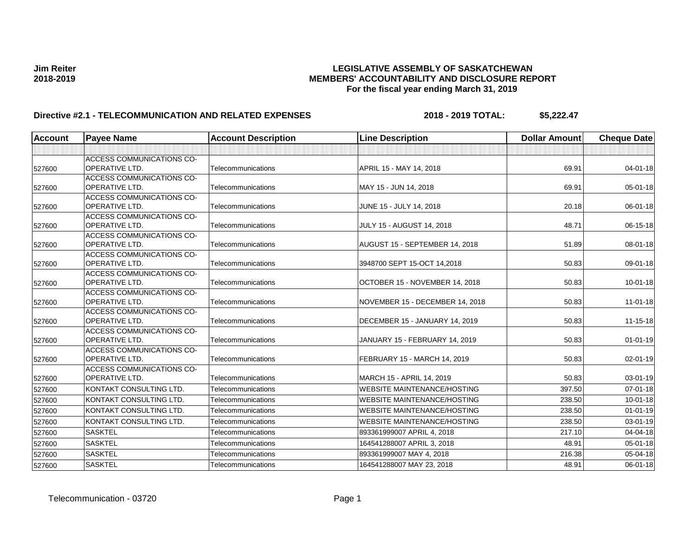| <b>Account</b> | <b>Payee Name</b>                                  | <b>Account Description</b> | <b>Line Description</b>            | <b>Dollar Amount</b> | <b>Cheque Date</b> |
|----------------|----------------------------------------------------|----------------------------|------------------------------------|----------------------|--------------------|
|                |                                                    |                            |                                    |                      |                    |
|                | <b>ACCESS COMMUNICATIONS CO-</b>                   |                            |                                    |                      |                    |
| 527600         | <b>OPERATIVE LTD.</b>                              | Telecommunications         | APRIL 15 - MAY 14, 2018            | 69.91                | $04 - 01 - 18$     |
|                | <b>ACCESS COMMUNICATIONS CO-</b>                   |                            |                                    |                      |                    |
| 527600         | <b>OPERATIVE LTD.</b>                              | Telecommunications         | MAY 15 - JUN 14, 2018              | 69.91                | $05 - 01 - 18$     |
|                | <b>ACCESS COMMUNICATIONS CO-</b>                   |                            |                                    |                      |                    |
| 527600         | <b>OPERATIVE LTD.</b>                              | Telecommunications         | JUNE 15 - JULY 14, 2018            | 20.18                | 06-01-18           |
|                | <b>ACCESS COMMUNICATIONS CO-</b>                   |                            |                                    |                      |                    |
| 527600         | OPERATIVE LTD.                                     | Telecommunications         | <b>JULY 15 - AUGUST 14, 2018</b>   | 48.71                | 06-15-18           |
|                | ACCESS COMMUNICATIONS CO-                          |                            |                                    |                      |                    |
| 527600         | OPERATIVE LTD.                                     | Telecommunications         | AUGUST 15 - SEPTEMBER 14, 2018     | 51.89                | 08-01-18           |
|                | <b>ACCESS COMMUNICATIONS CO-</b>                   |                            |                                    |                      |                    |
| 527600         | <b>OPERATIVE LTD.</b>                              | Telecommunications         | 3948700 SEPT 15-OCT 14,2018        | 50.83                | 09-01-18           |
|                | <b>ACCESS COMMUNICATIONS CO-</b><br>OPERATIVE LTD. | Telecommunications         | OCTOBER 15 - NOVEMBER 14, 2018     | 50.83                | $10 - 01 - 18$     |
| 527600         |                                                    |                            |                                    |                      |                    |
| 527600         | ACCESS COMMUNICATIONS CO-<br>OPERATIVE LTD.        | Telecommunications         | NOVEMBER 15 - DECEMBER 14, 2018    | 50.83                | $11 - 01 - 18$     |
|                | <b>ACCESS COMMUNICATIONS CO-</b>                   |                            |                                    |                      |                    |
| 527600         | OPERATIVE LTD.                                     | Telecommunications         | DECEMBER 15 - JANUARY 14, 2019     | 50.83                | $11 - 15 - 18$     |
|                | ACCESS COMMUNICATIONS CO-                          |                            |                                    |                      |                    |
| 527600         | OPERATIVE LTD.                                     | Telecommunications         | JANUARY 15 - FEBRUARY 14, 2019     | 50.83                | $01 - 01 - 19$     |
|                | ACCESS COMMUNICATIONS CO-                          |                            |                                    |                      |                    |
| 527600         | OPERATIVE LTD.                                     | Telecommunications         | FEBRUARY 15 - MARCH 14, 2019       | 50.83                | 02-01-19           |
|                | ACCESS COMMUNICATIONS CO-                          |                            |                                    |                      |                    |
| 527600         | OPERATIVE LTD.                                     | Telecommunications         | MARCH 15 - APRIL 14, 2019          | 50.83                | 03-01-19           |
| 527600         | KONTAKT CONSULTING LTD.                            | Telecommunications         | <b>WEBSITE MAINTENANCE/HOSTING</b> | 397.50               | $07 - 01 - 18$     |
| 527600         | KONTAKT CONSULTING LTD.                            | Telecommunications         | <b>WEBSITE MAINTENANCE/HOSTING</b> | 238.50               | $10 - 01 - 18$     |
| 527600         | KONTAKT CONSULTING LTD.                            | Telecommunications         | <b>WEBSITE MAINTENANCE/HOSTING</b> | 238.50               | $01 - 01 - 19$     |
| 527600         | KONTAKT CONSULTING LTD.                            | Telecommunications         | <b>WEBSITE MAINTENANCE/HOSTING</b> | 238.50               | 03-01-19           |
| 527600         | <b>SASKTEL</b>                                     | Telecommunications         | 893361999007 APRIL 4, 2018         | 217.10               | 04-04-18           |
| 527600         | <b>SASKTEL</b>                                     | Telecommunications         | 164541288007 APRIL 3, 2018         | 48.91                | 05-01-18           |
| 527600         | <b>SASKTEL</b>                                     | Telecommunications         | 893361999007 MAY 4, 2018           | 216.38               | 05-04-18           |
| 527600         | <b>SASKTEL</b>                                     | Telecommunications         | 164541288007 MAY 23, 2018          | 48.91                | 06-01-18           |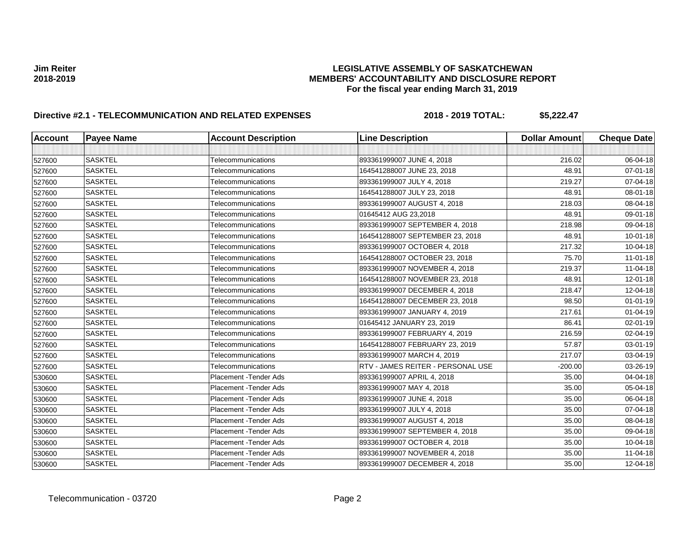| <b>Account</b> | <b>Payee Name</b> | <b>Account Description</b> | <b>Line Description</b>           | <b>Dollar Amount</b> | <b>Cheque Date</b> |
|----------------|-------------------|----------------------------|-----------------------------------|----------------------|--------------------|
|                |                   |                            |                                   |                      |                    |
| 527600         | <b>SASKTEL</b>    | Telecommunications         | 893361999007 JUNE 4, 2018         | 216.02               | 06-04-18           |
| 527600         | <b>SASKTEL</b>    | Telecommunications         | 164541288007 JUNE 23, 2018        | 48.91                | 07-01-18           |
| 527600         | <b>SASKTEL</b>    | Telecommunications         | 893361999007 JULY 4, 2018         | 219.27               | 07-04-18           |
| 527600         | <b>SASKTEL</b>    | Telecommunications         | 164541288007 JULY 23, 2018        | 48.91                | 08-01-18           |
| 527600         | <b>SASKTEL</b>    | Telecommunications         | 893361999007 AUGUST 4, 2018       | 218.03               | 08-04-18           |
| 527600         | <b>SASKTEL</b>    | Telecommunications         | 01645412 AUG 23,2018              | 48.91                | 09-01-18           |
| 527600         | <b>SASKTEL</b>    | Telecommunications         | 893361999007 SEPTEMBER 4, 2018    | 218.98               | 09-04-18           |
| 527600         | <b>SASKTEL</b>    | Telecommunications         | 164541288007 SEPTEMBER 23, 2018   | 48.91                | $10 - 01 - 18$     |
| 527600         | <b>SASKTEL</b>    | Telecommunications         | 893361999007 OCTOBER 4, 2018      | 217.32               | 10-04-18           |
| 527600         | <b>SASKTEL</b>    | Telecommunications         | 164541288007 OCTOBER 23, 2018     | 75.70                | $11 - 01 - 18$     |
| 527600         | <b>SASKTEL</b>    | Telecommunications         | 893361999007 NOVEMBER 4, 2018     | 219.37               | $11-04-18$         |
| 527600         | <b>SASKTEL</b>    | Telecommunications         | 164541288007 NOVEMBER 23, 2018    | 48.91                | 12-01-18           |
| 527600         | <b>SASKTEL</b>    | Telecommunications         | 893361999007 DECEMBER 4, 2018     | 218.47               | 12-04-18           |
| 527600         | <b>SASKTEL</b>    | Telecommunications         | 164541288007 DECEMBER 23, 2018    | 98.50                | $01 - 01 - 19$     |
| 527600         | <b>SASKTEL</b>    | Telecommunications         | 893361999007 JANUARY 4, 2019      | 217.61               | $01 - 04 - 19$     |
| 527600         | <b>SASKTEL</b>    | Telecommunications         | 01645412 JANUARY 23, 2019         | 86.41                | 02-01-19           |
| 527600         | <b>SASKTEL</b>    | Telecommunications         | 893361999007 FEBRUARY 4, 2019     | 216.59               | 02-04-19           |
| 527600         | <b>SASKTEL</b>    | Telecommunications         | 164541288007 FEBRUARY 23, 2019    | 57.87                | 03-01-19           |
| 527600         | <b>SASKTEL</b>    | Telecommunications         | 893361999007 MARCH 4, 2019        | 217.07               | 03-04-19           |
| 527600         | <b>SASKTEL</b>    | Telecommunications         | RTV - JAMES REITER - PERSONAL USE | $-200.00$            | 03-26-19           |
| 530600         | <b>SASKTEL</b>    | Placement - Tender Ads     | 893361999007 APRIL 4, 2018        | 35.00                | 04-04-18           |
| 530600         | <b>SASKTEL</b>    | Placement - Tender Ads     | 893361999007 MAY 4, 2018          | 35.00                | 05-04-18           |
| 530600         | <b>SASKTEL</b>    | Placement - Tender Ads     | 893361999007 JUNE 4, 2018         | 35.00                | 06-04-18           |
| 530600         | <b>SASKTEL</b>    | Placement - Tender Ads     | 893361999007 JULY 4, 2018         | 35.00                | 07-04-18           |
| 530600         | <b>SASKTEL</b>    | Placement - Tender Ads     | 893361999007 AUGUST 4, 2018       | 35.00                | 08-04-18           |
| 530600         | <b>SASKTEL</b>    | Placement - Tender Ads     | 893361999007 SEPTEMBER 4, 2018    | 35.00                | 09-04-18           |
| 530600         | <b>SASKTEL</b>    | Placement - Tender Ads     | 893361999007 OCTOBER 4, 2018      | 35.00                | 10-04-18           |
| 530600         | <b>SASKTEL</b>    | Placement - Tender Ads     | 893361999007 NOVEMBER 4, 2018     | 35.00                | 11-04-18           |
| 530600         | <b>SASKTEL</b>    | Placement - Tender Ads     | 893361999007 DECEMBER 4, 2018     | 35.00                | 12-04-18           |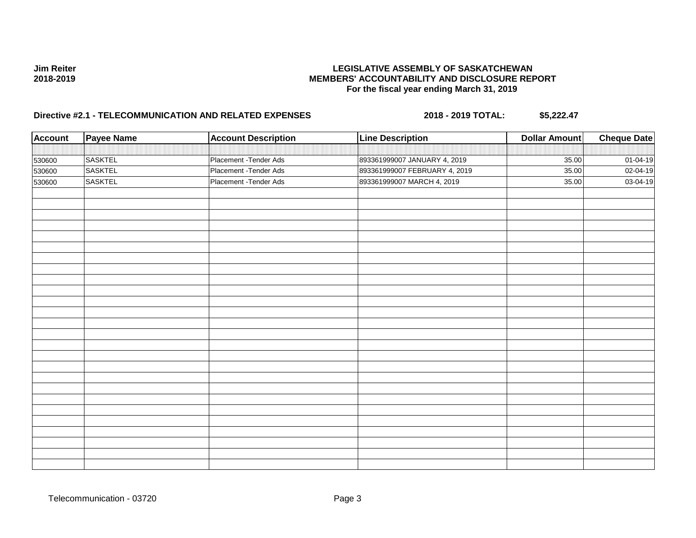| <b>Account</b> | <b>Payee Name</b> | <b>Account Description</b> | <b>Line Description</b>       | <b>Dollar Amount</b> | <b>Cheque Date</b> |
|----------------|-------------------|----------------------------|-------------------------------|----------------------|--------------------|
|                |                   |                            |                               |                      |                    |
| 530600         | <b>SASKTEL</b>    | Placement - Tender Ads     | 893361999007 JANUARY 4, 2019  | 35.00                | 01-04-19           |
| 530600         | SASKTEL           | Placement - Tender Ads     | 893361999007 FEBRUARY 4, 2019 | 35.00                | 02-04-19           |
| 530600         | <b>SASKTEL</b>    | Placement - Tender Ads     | 893361999007 MARCH 4, 2019    | 35.00                | 03-04-19           |
|                |                   |                            |                               |                      |                    |
|                |                   |                            |                               |                      |                    |
|                |                   |                            |                               |                      |                    |
|                |                   |                            |                               |                      |                    |
|                |                   |                            |                               |                      |                    |
|                |                   |                            |                               |                      |                    |
|                |                   |                            |                               |                      |                    |
|                |                   |                            |                               |                      |                    |
|                |                   |                            |                               |                      |                    |
|                |                   |                            |                               |                      |                    |
|                |                   |                            |                               |                      |                    |
|                |                   |                            |                               |                      |                    |
|                |                   |                            |                               |                      |                    |
|                |                   |                            |                               |                      |                    |
|                |                   |                            |                               |                      |                    |
|                |                   |                            |                               |                      |                    |
|                |                   |                            |                               |                      |                    |
|                |                   |                            |                               |                      |                    |
|                |                   |                            |                               |                      |                    |
|                |                   |                            |                               |                      |                    |
|                |                   |                            |                               |                      |                    |
|                |                   |                            |                               |                      |                    |
|                |                   |                            |                               |                      |                    |
|                |                   |                            |                               |                      |                    |
|                |                   |                            |                               |                      |                    |
|                |                   |                            |                               |                      |                    |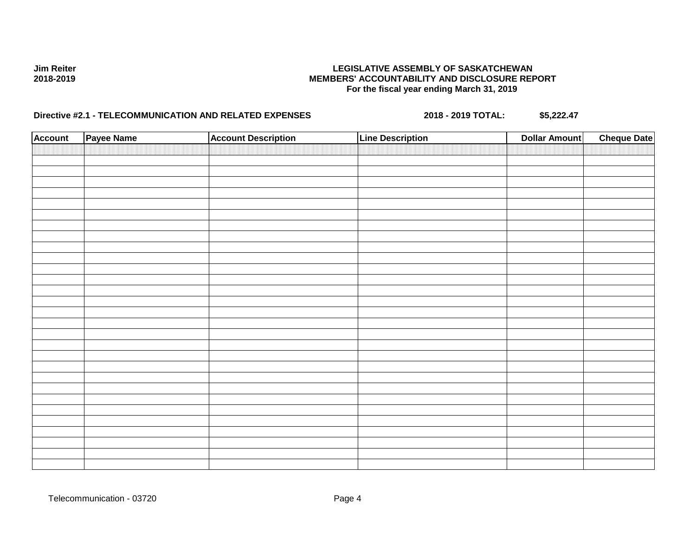| <b>Account</b> | Payee Name | <b>Account Description</b> | <b>Line Description</b> | <b>Dollar Amount</b> | <b>Cheque Date</b> |
|----------------|------------|----------------------------|-------------------------|----------------------|--------------------|
|                |            |                            |                         |                      |                    |
|                |            |                            |                         |                      |                    |
|                |            |                            |                         |                      |                    |
|                |            |                            |                         |                      |                    |
|                |            |                            |                         |                      |                    |
|                |            |                            |                         |                      |                    |
|                |            |                            |                         |                      |                    |
|                |            |                            |                         |                      |                    |
|                |            |                            |                         |                      |                    |
|                |            |                            |                         |                      |                    |
|                |            |                            |                         |                      |                    |
|                |            |                            |                         |                      |                    |
|                |            |                            |                         |                      |                    |
|                |            |                            |                         |                      |                    |
|                |            |                            |                         |                      |                    |
|                |            |                            |                         |                      |                    |
|                |            |                            |                         |                      |                    |
|                |            |                            |                         |                      |                    |
|                |            |                            |                         |                      |                    |
|                |            |                            |                         |                      |                    |
|                |            |                            |                         |                      |                    |
|                |            |                            |                         |                      |                    |
|                |            |                            |                         |                      |                    |
|                |            |                            |                         |                      |                    |
|                |            |                            |                         |                      |                    |
|                |            |                            |                         |                      |                    |
|                |            |                            |                         |                      |                    |
|                |            |                            |                         |                      |                    |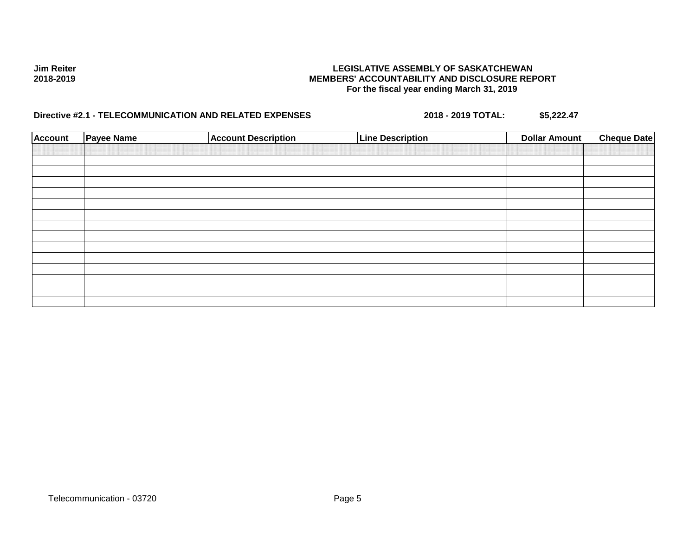| <b>Account</b> | <b>Payee Name</b> | <b>Account Description</b> | <b>Line Description</b> | <b>Dollar Amount</b> | <b>Cheque Date</b> |
|----------------|-------------------|----------------------------|-------------------------|----------------------|--------------------|
|                |                   |                            |                         |                      |                    |
|                |                   |                            |                         |                      |                    |
|                |                   |                            |                         |                      |                    |
|                |                   |                            |                         |                      |                    |
|                |                   |                            |                         |                      |                    |
|                |                   |                            |                         |                      |                    |
|                |                   |                            |                         |                      |                    |
|                |                   |                            |                         |                      |                    |
|                |                   |                            |                         |                      |                    |
|                |                   |                            |                         |                      |                    |
|                |                   |                            |                         |                      |                    |
|                |                   |                            |                         |                      |                    |
|                |                   |                            |                         |                      |                    |
|                |                   |                            |                         |                      |                    |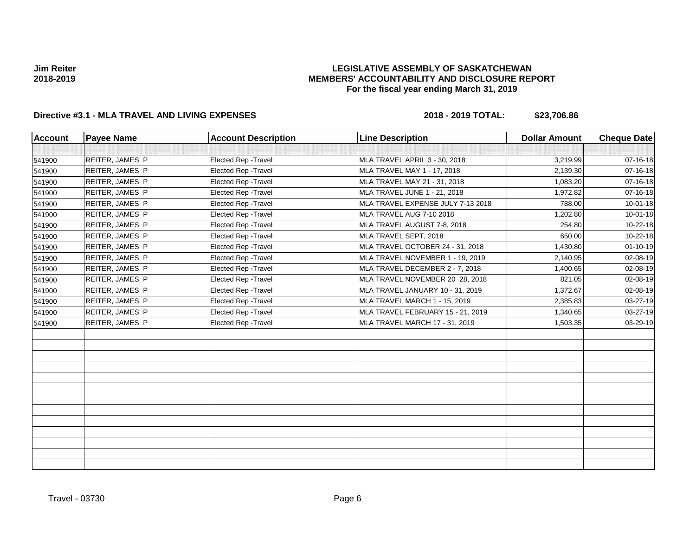## **LEGISLATIVE ASSEMBLY OF SASKATCHEWAN MEMBERS' ACCOUNTABILITY AND DISCLOSURE REPORT For the fiscal year ending March 31, 2019**

# **Directive #3.1 - MLA TRAVEL AND LIVING EXPENSES 2018 - 2019 TOTAL: \$23,706.86**

| <b>Account</b> | <b>Payee Name</b> | <b>Account Description</b>  | <b>Line Description</b>           | <b>Dollar Amount</b> | <b>Cheque Date</b> |
|----------------|-------------------|-----------------------------|-----------------------------------|----------------------|--------------------|
|                |                   |                             |                                   |                      |                    |
| 541900         | REITER, JAMES P   | Elected Rep - Travel        | MLA TRAVEL APRIL 3 - 30, 2018     | 3,219.99             | $07 - 16 - 18$     |
| 541900         | REITER, JAMES P   | Elected Rep - Travel        | MLA TRAVEL MAY 1 - 17, 2018       | 2,139.30             | 07-16-18           |
| 541900         | REITER, JAMES P   | Elected Rep - Travel        | MLA TRAVEL MAY 21 - 31, 2018      | 1,083.20             | 07-16-18           |
| 541900         | REITER, JAMES P   | <b>Elected Rep - Travel</b> | MLA TRAVEL JUNE 1 - 21, 2018      | 1,972.82             | 07-16-18           |
| 541900         | REITER, JAMES P   | Elected Rep - Travel        | MLA TRAVEL EXPENSE JULY 7-13 2018 | 788.00               | $10 - 01 - 18$     |
| 541900         | REITER, JAMES P   | <b>Elected Rep - Travel</b> | MLA TRAVEL AUG 7-10 2018          | 1,202.80             | $10 - 01 - 18$     |
| 541900         | REITER, JAMES P   | Elected Rep - Travel        | MLA TRAVEL AUGUST 7-8, 2018       | 254.80               | 10-22-18           |
| 541900         | REITER, JAMES P   | Elected Rep - Travel        | MLA TRAVEL SEPT, 2018             | 650.00               | 10-22-18           |
| 541900         | REITER, JAMES P   | Elected Rep - Travel        | MLA TRAVEL OCTOBER 24 - 31, 2018  | 1,430.80             | $01 - 10 - 19$     |
| 541900         | REITER, JAMES P   | Elected Rep - Travel        | MLA TRAVEL NOVEMBER 1 - 19, 2019  | 2,140.95             | 02-08-19           |
| 541900         | REITER, JAMES P   | Elected Rep - Travel        | MLA TRAVEL DECEMBER 2 - 7, 2018   | 1,400.65             | 02-08-19           |
| 541900         | REITER, JAMES P   | <b>Elected Rep - Travel</b> | MLA TRAVEL NOVEMBER 20 28, 2018   | 821.05               | 02-08-19           |
| 541900         | REITER, JAMES P   | Elected Rep - Travel        | MLA TRAVEL JANUARY 10 - 31, 2019  | 1,372.67             | 02-08-19           |
| 541900         | REITER, JAMES P   | <b>Elected Rep - Travel</b> | MLA TRAVEL MARCH 1 - 15, 2019     | 2,385.83             | 03-27-19           |
| 541900         | REITER, JAMES P   | Elected Rep - Travel        | MLA TRAVEL FEBRUARY 15 - 21, 2019 | 1,340.65             | 03-27-19           |
| 541900         | REITER, JAMES P   | Elected Rep - Travel        | MLA TRAVEL MARCH 17 - 31, 2019    | 1,503.35             | 03-29-19           |
|                |                   |                             |                                   |                      |                    |
|                |                   |                             |                                   |                      |                    |
|                |                   |                             |                                   |                      |                    |
|                |                   |                             |                                   |                      |                    |
|                |                   |                             |                                   |                      |                    |
|                |                   |                             |                                   |                      |                    |
|                |                   |                             |                                   |                      |                    |
|                |                   |                             |                                   |                      |                    |
|                |                   |                             |                                   |                      |                    |
|                |                   |                             |                                   |                      |                    |
|                |                   |                             |                                   |                      |                    |
|                |                   |                             |                                   |                      |                    |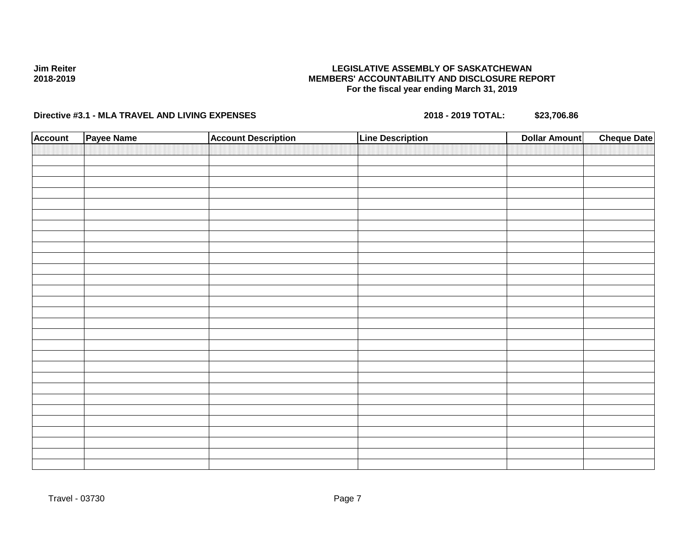# **Directive #3.1 - MLA TRAVEL AND LIVING EXPENSES 2018 - 2019 TOTAL: \$23,706.86**

**Jim Reiter 2018-2019**

| <b>Account</b> | Payee Name | <b>Account Description</b> | <b>Line Description</b> | <b>Dollar Amount</b> | <b>Cheque Date</b> |
|----------------|------------|----------------------------|-------------------------|----------------------|--------------------|
|                |            |                            |                         |                      |                    |
|                |            |                            |                         |                      |                    |
|                |            |                            |                         |                      |                    |
|                |            |                            |                         |                      |                    |
|                |            |                            |                         |                      |                    |
|                |            |                            |                         |                      |                    |
|                |            |                            |                         |                      |                    |
|                |            |                            |                         |                      |                    |
|                |            |                            |                         |                      |                    |
|                |            |                            |                         |                      |                    |
|                |            |                            |                         |                      |                    |
|                |            |                            |                         |                      |                    |
|                |            |                            |                         |                      |                    |
|                |            |                            |                         |                      |                    |
|                |            |                            |                         |                      |                    |
|                |            |                            |                         |                      |                    |
|                |            |                            |                         |                      |                    |
|                |            |                            |                         |                      |                    |
|                |            |                            |                         |                      |                    |
|                |            |                            |                         |                      |                    |
|                |            |                            |                         |                      |                    |
|                |            |                            |                         |                      |                    |
|                |            |                            |                         |                      |                    |
|                |            |                            |                         |                      |                    |
|                |            |                            |                         |                      |                    |
|                |            |                            |                         |                      |                    |
|                |            |                            |                         |                      |                    |
|                |            |                            |                         |                      |                    |
|                |            |                            |                         |                      |                    |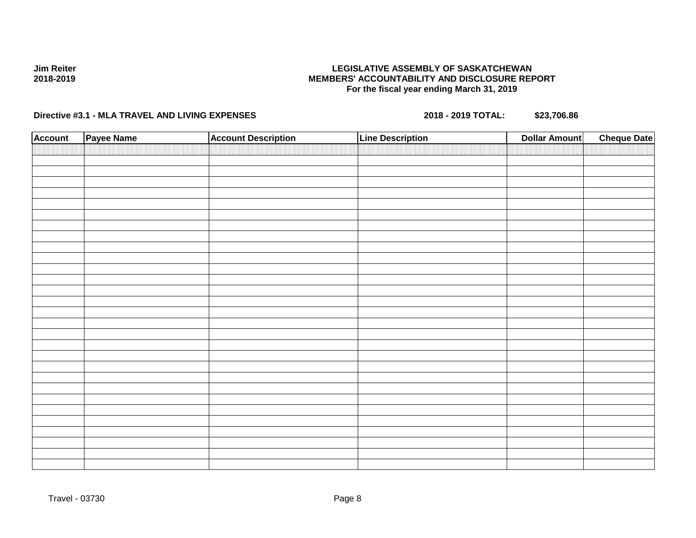# **Directive #3.1 - MLA TRAVEL AND LIVING EXPENSES 2018 - 2019 TOTAL: \$23,706.86**

**Jim Reiter 2018-2019**

| <b>Account</b> | Payee Name | <b>Account Description</b> | <b>Line Description</b> | <b>Dollar Amount</b> | <b>Cheque Date</b> |
|----------------|------------|----------------------------|-------------------------|----------------------|--------------------|
|                |            |                            |                         |                      |                    |
|                |            |                            |                         |                      |                    |
|                |            |                            |                         |                      |                    |
|                |            |                            |                         |                      |                    |
|                |            |                            |                         |                      |                    |
|                |            |                            |                         |                      |                    |
|                |            |                            |                         |                      |                    |
|                |            |                            |                         |                      |                    |
|                |            |                            |                         |                      |                    |
|                |            |                            |                         |                      |                    |
|                |            |                            |                         |                      |                    |
|                |            |                            |                         |                      |                    |
|                |            |                            |                         |                      |                    |
|                |            |                            |                         |                      |                    |
|                |            |                            |                         |                      |                    |
|                |            |                            |                         |                      |                    |
|                |            |                            |                         |                      |                    |
|                |            |                            |                         |                      |                    |
|                |            |                            |                         |                      |                    |
|                |            |                            |                         |                      |                    |
|                |            |                            |                         |                      |                    |
|                |            |                            |                         |                      |                    |
|                |            |                            |                         |                      |                    |
|                |            |                            |                         |                      |                    |
|                |            |                            |                         |                      |                    |
|                |            |                            |                         |                      |                    |
|                |            |                            |                         |                      |                    |
|                |            |                            |                         |                      |                    |
|                |            |                            |                         |                      |                    |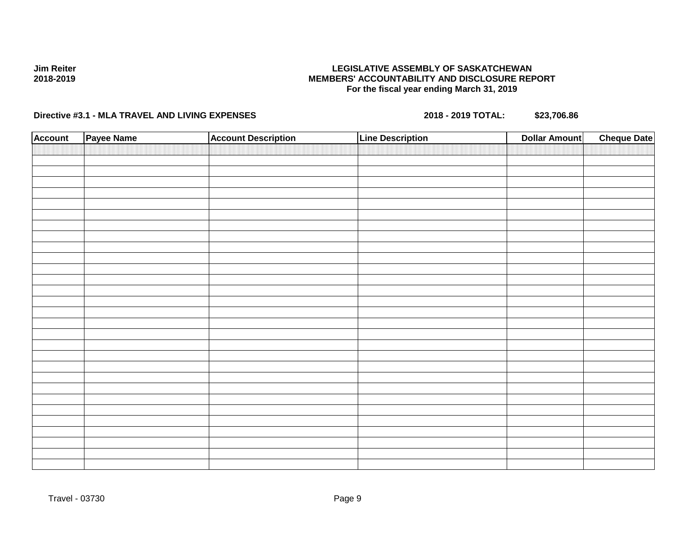# **Directive #3.1 - MLA TRAVEL AND LIVING EXPENSES 2018 - 2019 TOTAL: \$23,706.86**

**Jim Reiter 2018-2019**

| <b>Account</b> | Payee Name | <b>Account Description</b> | <b>Line Description</b> | <b>Dollar Amount</b> | <b>Cheque Date</b> |
|----------------|------------|----------------------------|-------------------------|----------------------|--------------------|
|                |            |                            |                         |                      |                    |
|                |            |                            |                         |                      |                    |
|                |            |                            |                         |                      |                    |
|                |            |                            |                         |                      |                    |
|                |            |                            |                         |                      |                    |
|                |            |                            |                         |                      |                    |
|                |            |                            |                         |                      |                    |
|                |            |                            |                         |                      |                    |
|                |            |                            |                         |                      |                    |
|                |            |                            |                         |                      |                    |
|                |            |                            |                         |                      |                    |
|                |            |                            |                         |                      |                    |
|                |            |                            |                         |                      |                    |
|                |            |                            |                         |                      |                    |
|                |            |                            |                         |                      |                    |
|                |            |                            |                         |                      |                    |
|                |            |                            |                         |                      |                    |
|                |            |                            |                         |                      |                    |
|                |            |                            |                         |                      |                    |
|                |            |                            |                         |                      |                    |
|                |            |                            |                         |                      |                    |
|                |            |                            |                         |                      |                    |
|                |            |                            |                         |                      |                    |
|                |            |                            |                         |                      |                    |
|                |            |                            |                         |                      |                    |
|                |            |                            |                         |                      |                    |
|                |            |                            |                         |                      |                    |
|                |            |                            |                         |                      |                    |
|                |            |                            |                         |                      |                    |
|                |            |                            |                         |                      |                    |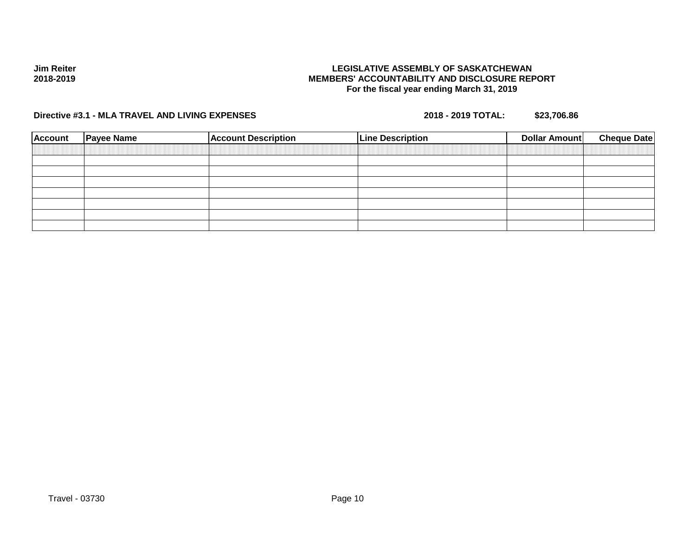### **LEGISLATIVE ASSEMBLY OF SASKATCHEWAN MEMBERS' ACCOUNTABILITY AND DISCLOSURE REPORT For the fiscal year ending March 31, 2019**

**Directive #3.1 - MLA TRAVEL AND LIVING EXPENSES 2018 - 2019 TOTAL: \$23,706.86**

| <b>Account</b> | <b>Payee Name</b> | <b>Account Description</b> | <b>Line Description</b> | Dollar Amount | <b>Cheque Date</b> |
|----------------|-------------------|----------------------------|-------------------------|---------------|--------------------|
|                |                   |                            |                         |               |                    |
|                |                   |                            |                         |               |                    |
|                |                   |                            |                         |               |                    |
|                |                   |                            |                         |               |                    |
|                |                   |                            |                         |               |                    |
|                |                   |                            |                         |               |                    |
|                |                   |                            |                         |               |                    |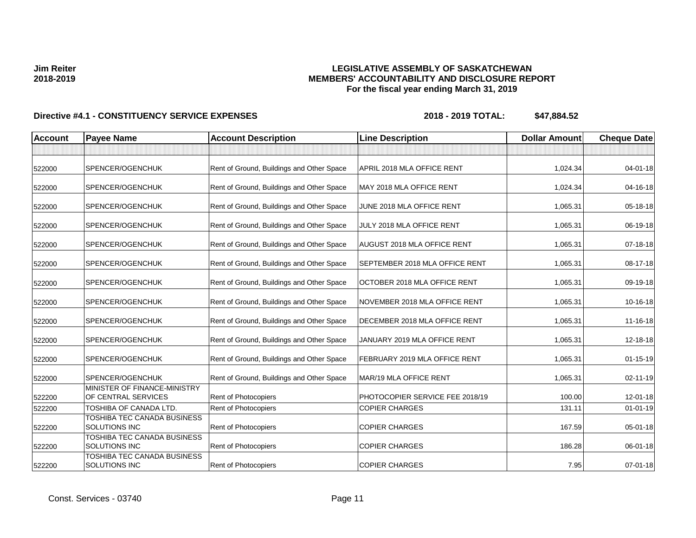# **LEGISLATIVE ASSEMBLY OF SASKATCHEWAN MEMBERS' ACCOUNTABILITY AND DISCLOSURE REPORT For the fiscal year ending March 31, 2019**

| <b>Account</b> | <b>Payee Name</b>                                   | <b>Account Description</b>                | <b>Line Description</b>            | <b>Dollar Amount</b> | <b>Cheque Date</b> |
|----------------|-----------------------------------------------------|-------------------------------------------|------------------------------------|----------------------|--------------------|
|                |                                                     |                                           |                                    |                      |                    |
| 522000         | SPENCER/OGENCHUK                                    | Rent of Ground, Buildings and Other Space | APRIL 2018 MLA OFFICE RENT         | 1,024.34             | 04-01-18           |
| 522000         | SPENCER/OGENCHUK                                    | Rent of Ground, Buildings and Other Space | MAY 2018 MLA OFFICE RENT           | 1,024.34             | 04-16-18           |
| 522000         | SPENCER/OGENCHUK                                    | Rent of Ground, Buildings and Other Space | JUNE 2018 MLA OFFICE RENT          | 1,065.31             | 05-18-18           |
| 522000         | SPENCER/OGENCHUK                                    | Rent of Ground, Buildings and Other Space | JULY 2018 MLA OFFICE RENT          | 1,065.31             | 06-19-18           |
| 522000         | SPENCER/OGENCHUK                                    | Rent of Ground, Buildings and Other Space | <b>AUGUST 2018 MLA OFFICE RENT</b> | 1,065.31             | 07-18-18           |
| 522000         | SPENCER/OGENCHUK                                    | Rent of Ground, Buildings and Other Space | SEPTEMBER 2018 MLA OFFICE RENT     | 1,065.31             | 08-17-18           |
| 522000         | SPENCER/OGENCHUK                                    | Rent of Ground, Buildings and Other Space | OCTOBER 2018 MLA OFFICE RENT       | 1,065.31             | 09-19-18           |
| 522000         | SPENCER/OGENCHUK                                    | Rent of Ground, Buildings and Other Space | NOVEMBER 2018 MLA OFFICE RENT      | 1,065.31             | 10-16-18           |
| 522000         | SPENCER/OGENCHUK                                    | Rent of Ground, Buildings and Other Space | DECEMBER 2018 MLA OFFICE RENT      | 1,065.31             | 11-16-18           |
| 522000         | SPENCER/OGENCHUK                                    | Rent of Ground, Buildings and Other Space | JANUARY 2019 MLA OFFICE RENT       | 1,065.31             | 12-18-18           |
| 522000         | SPENCER/OGENCHUK                                    | Rent of Ground, Buildings and Other Space | FEBRUARY 2019 MLA OFFICE RENT      | 1,065.31             | $01 - 15 - 19$     |
| 522000         | SPENCER/OGENCHUK                                    | Rent of Ground, Buildings and Other Space | MAR/19 MLA OFFICE RENT             | 1,065.31             | $02 - 11 - 19$     |
| 522200         | MINISTER OF FINANCE-MINISTRY<br>OF CENTRAL SERVICES | Rent of Photocopiers                      | PHOTOCOPIER SERVICE FEE 2018/19    | 100.00               | 12-01-18           |
| 522200         | TOSHIBA OF CANADA LTD.                              | Rent of Photocopiers                      | <b>COPIER CHARGES</b>              | 131.11               | $01 - 01 - 19$     |
| 522200         | TOSHIBA TEC CANADA BUSINESS<br><b>SOLUTIONS INC</b> | <b>Rent of Photocopiers</b>               | <b>COPIER CHARGES</b>              | 167.59               | 05-01-18           |
| 522200         | TOSHIBA TEC CANADA BUSINESS<br><b>SOLUTIONS INC</b> | Rent of Photocopiers                      | <b>COPIER CHARGES</b>              | 186.28               | 06-01-18           |
| 522200         | TOSHIBA TEC CANADA BUSINESS<br><b>SOLUTIONS INC</b> | Rent of Photocopiers                      | <b>COPIER CHARGES</b>              | 7.95                 | $07 - 01 - 18$     |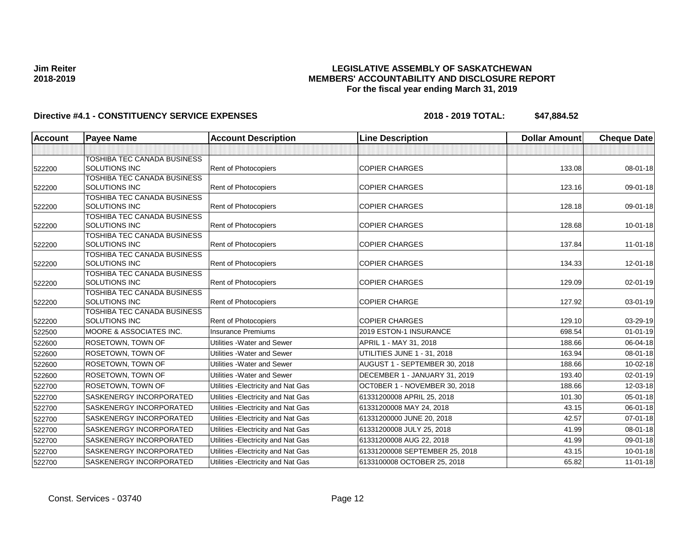## **LEGISLATIVE ASSEMBLY OF SASKATCHEWAN MEMBERS' ACCOUNTABILITY AND DISCLOSURE REPORT For the fiscal year ending March 31, 2019**

| <b>Account</b> | <b>Payee Name</b>                                   | <b>Account Description</b>          | <b>Line Description</b>        | <b>Dollar Amount</b> | <b>Cheque Date</b> |
|----------------|-----------------------------------------------------|-------------------------------------|--------------------------------|----------------------|--------------------|
|                |                                                     |                                     |                                |                      |                    |
|                | TOSHIBA TEC CANADA BUSINESS                         |                                     |                                |                      |                    |
| 522200         | <b>SOLUTIONS INC</b>                                | Rent of Photocopiers                | <b>COPIER CHARGES</b>          | 133.08               | 08-01-18           |
|                | TOSHIBA TEC CANADA BUSINESS                         |                                     |                                |                      |                    |
| 522200         | <b>SOLUTIONS INC</b>                                | Rent of Photocopiers                | <b>COPIER CHARGES</b>          | 123.16               | 09-01-18           |
|                | TOSHIBA TEC CANADA BUSINESS                         |                                     |                                |                      |                    |
| 522200         | <b>SOLUTIONS INC</b>                                | Rent of Photocopiers                | <b>COPIER CHARGES</b>          | 128.18               | 09-01-18           |
|                | TOSHIBA TEC CANADA BUSINESS                         |                                     |                                |                      |                    |
| 522200         | <b>SOLUTIONS INC</b>                                | Rent of Photocopiers                | <b>COPIER CHARGES</b>          | 128.68               | $10 - 01 - 18$     |
|                | TOSHIBA TEC CANADA BUSINESS<br><b>SOLUTIONS INC</b> | Rent of Photocopiers                | <b>COPIER CHARGES</b>          | 137.84               | $11 - 01 - 18$     |
| 522200         | TOSHIBA TEC CANADA BUSINESS                         |                                     |                                |                      |                    |
| 522200         | <b>SOLUTIONS INC</b>                                | Rent of Photocopiers                | <b>COPIER CHARGES</b>          | 134.33               | $12 - 01 - 18$     |
|                | TOSHIBA TEC CANADA BUSINESS                         |                                     |                                |                      |                    |
| 522200         | <b>SOLUTIONS INC</b>                                | Rent of Photocopiers                | <b>COPIER CHARGES</b>          | 129.09               | 02-01-19           |
|                | TOSHIBA TEC CANADA BUSINESS                         |                                     |                                |                      |                    |
| 522200         | SOLUTIONS INC                                       | <b>Rent of Photocopiers</b>         | <b>COPIER CHARGE</b>           | 127.92               | 03-01-19           |
|                | TOSHIBA TEC CANADA BUSINESS                         |                                     |                                |                      |                    |
| 522200         | <b>SOLUTIONS INC</b>                                | <b>Rent of Photocopiers</b>         | <b>COPIER CHARGES</b>          | 129.10               | 03-29-19           |
| 522500         | MOORE & ASSOCIATES INC.                             | <b>Insurance Premiums</b>           | 2019 ESTON-1 INSURANCE         | 698.54               | $01 - 01 - 19$     |
| 522600         | ROSETOWN, TOWN OF                                   | Utilities - Water and Sewer         | APRIL 1 - MAY 31, 2018         | 188.66               | 06-04-18           |
| 522600         | ROSETOWN, TOWN OF                                   | Utilities - Water and Sewer         | UTILITIES JUNE 1 - 31, 2018    | 163.94               | 08-01-18           |
| 522600         | ROSETOWN, TOWN OF                                   | Utilities - Water and Sewer         | AUGUST 1 - SEPTEMBER 30, 2018  | 188.66               | 10-02-18           |
| 522600         | ROSETOWN, TOWN OF                                   | Utilities - Water and Sewer         | DECEMBER 1 - JANUARY 31, 2019  | 193.40               | $02 - 01 - 19$     |
| 522700         | <b>ROSETOWN, TOWN OF</b>                            | Utilities - Electricity and Nat Gas | OCT0BER 1 - NOVEMBER 30, 2018  | 188.66               | $12 - 03 - 18$     |
| 522700         | <b>SASKENERGY INCORPORATED</b>                      | Utilities - Electricity and Nat Gas | 61331200008 APRIL 25, 2018     | 101.30               | $05 - 01 - 18$     |
| 522700         | SASKENERGY INCORPORATED                             | Utilities - Electricity and Nat Gas | 61331200008 MAY 24, 2018       | 43.15                | 06-01-18           |
| 522700         | SASKENERGY INCORPORATED                             | Utilities - Electricity and Nat Gas | 61331200000 JUNE 20, 2018      | 42.57                | 07-01-18           |
| 522700         | SASKENERGY INCORPORATED                             | Utilities - Electricity and Nat Gas | 61331200008 JULY 25, 2018      | 41.99                | 08-01-18           |
| 522700         | SASKENERGY INCORPORATED                             | Utilities - Electricity and Nat Gas | 61331200008 AUG 22, 2018       | 41.99                | $09 - 01 - 18$     |
| 522700         | SASKENERGY INCORPORATED                             | Utilities - Electricity and Nat Gas | 61331200008 SEPTEMBER 25, 2018 | 43.15                | $10 - 01 - 18$     |
| 522700         | SASKENERGY INCORPORATED                             | Utilities - Electricity and Nat Gas | 6133100008 OCTOBER 25, 2018    | 65.82                | $11-01-18$         |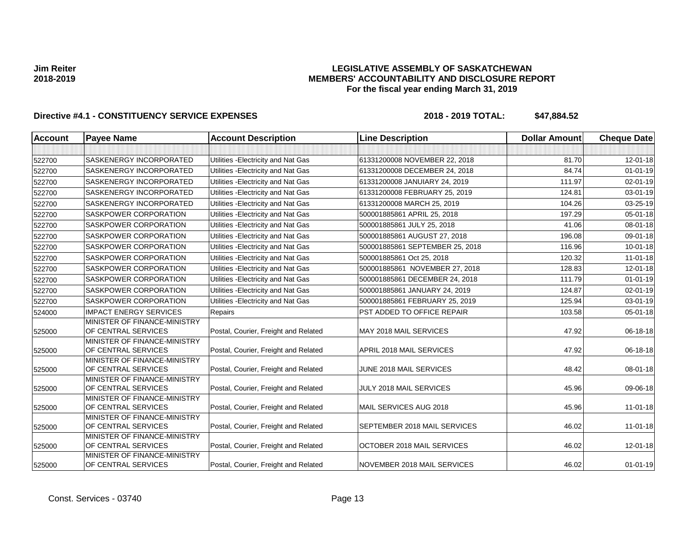## **LEGISLATIVE ASSEMBLY OF SASKATCHEWAN MEMBERS' ACCOUNTABILITY AND DISCLOSURE REPORT For the fiscal year ending March 31, 2019**

| <b>Account</b> | <b>Payee Name</b>                                   | <b>Account Description</b>           | <b>Line Description</b>         | <b>Dollar Amount</b> | <b>Cheque Date</b> |
|----------------|-----------------------------------------------------|--------------------------------------|---------------------------------|----------------------|--------------------|
|                |                                                     |                                      |                                 |                      |                    |
| 522700         | SASKENERGY INCORPORATED                             | Utilities - Electricity and Nat Gas  | 61331200008 NOVEMBER 22, 2018   | 81.70                | 12-01-18           |
| 522700         | <b>SASKENERGY INCORPORATED</b>                      | Utilities - Electricity and Nat Gas  | 61331200008 DECEMBER 24, 2018   | 84.74                | $01 - 01 - 19$     |
| 522700         | SASKENERGY INCORPORATED                             | Utilities - Electricity and Nat Gas  | 61331200008 JANUIARY 24, 2019   | 111.97               | 02-01-19           |
| 522700         | SASKENERGY INCORPORATED                             | Utilities - Electricity and Nat Gas  | 61331200008 FEBRUARY 25, 2019   | 124.81               | 03-01-19           |
| 522700         | SASKENERGY INCORPORATED                             | Utilities - Electricity and Nat Gas  | 61331200008 MARCH 25, 2019      | 104.26               | 03-25-19           |
| 522700         | SASKPOWER CORPORATION                               | Utilities - Electricity and Nat Gas  | 500001885861 APRIL 25, 2018     | 197.29               | 05-01-18           |
| 522700         | SASKPOWER CORPORATION                               | Utilities - Electricity and Nat Gas  | 500001885861 JULY 25, 2018      | 41.06                | 08-01-18           |
| 522700         | SASKPOWER CORPORATION                               | Utilities - Electricity and Nat Gas  | 500001885861 AUGUST 27, 2018    | 196.08               | 09-01-18           |
| 522700         | <b>SASKPOWER CORPORATION</b>                        | Utilities - Electricity and Nat Gas  | 500001885861 SEPTEMBER 25, 2018 | 116.96               | $10 - 01 - 18$     |
| 522700         | SASKPOWER CORPORATION                               | Utilities - Electricity and Nat Gas  | 500001885861 Oct 25, 2018       | 120.32               | $11-01-18$         |
| 522700         | <b>SASKPOWER CORPORATION</b>                        | Utilities - Electricity and Nat Gas  | 500001885861 NOVEMBER 27, 2018  | 128.83               | 12-01-18           |
| 522700         | <b>SASKPOWER CORPORATION</b>                        | Utilities - Electricity and Nat Gas  | 500001885861 DECEMBER 24, 2018  | 111.79               | $01 - 01 - 19$     |
| 522700         | <b>SASKPOWER CORPORATION</b>                        | Utilities - Electricity and Nat Gas  | 500001885861 JANUARY 24, 2019   | 124.87               | $02 - 01 - 19$     |
| 522700         | <b>SASKPOWER CORPORATION</b>                        | Utilities - Electricity and Nat Gas  | 500001885861 FEBRUARY 25, 2019  | 125.94               | 03-01-19           |
| 524000         | <b>IMPACT ENERGY SERVICES</b>                       | Repairs                              | PST ADDED TO OFFICE REPAIR      | 103.58               | $05 - 01 - 18$     |
| 525000         | MINISTER OF FINANCE-MINISTRY<br>OF CENTRAL SERVICES | Postal, Courier, Freight and Related | MAY 2018 MAIL SERVICES          | 47.92                | 06-18-18           |
| 525000         | MINISTER OF FINANCE-MINISTRY<br>OF CENTRAL SERVICES | Postal, Courier, Freight and Related | APRIL 2018 MAIL SERVICES        | 47.92                | 06-18-18           |
| 525000         | MINISTER OF FINANCE-MINISTRY<br>OF CENTRAL SERVICES | Postal, Courier, Freight and Related | JUNE 2018 MAIL SERVICES         | 48.42                | 08-01-18           |
| 525000         | MINISTER OF FINANCE-MINISTRY<br>OF CENTRAL SERVICES | Postal, Courier, Freight and Related | JULY 2018 MAIL SERVICES         | 45.96                | 09-06-18           |
| 525000         | MINISTER OF FINANCE-MINISTRY<br>OF CENTRAL SERVICES | Postal, Courier, Freight and Related | MAIL SERVICES AUG 2018          | 45.96                | $11 - 01 - 18$     |
| 525000         | MINISTER OF FINANCE-MINISTRY<br>OF CENTRAL SERVICES | Postal, Courier, Freight and Related | SEPTEMBER 2018 MAIL SERVICES    | 46.02                | $11 - 01 - 18$     |
| 525000         | MINISTER OF FINANCE-MINISTRY<br>OF CENTRAL SERVICES | Postal, Courier, Freight and Related | OCTOBER 2018 MAIL SERVICES      | 46.02                | 12-01-18           |
| 525000         | MINISTER OF FINANCE-MINISTRY<br>OF CENTRAL SERVICES | Postal, Courier, Freight and Related | NOVEMBER 2018 MAIL SERVICES     | 46.02                | $01 - 01 - 19$     |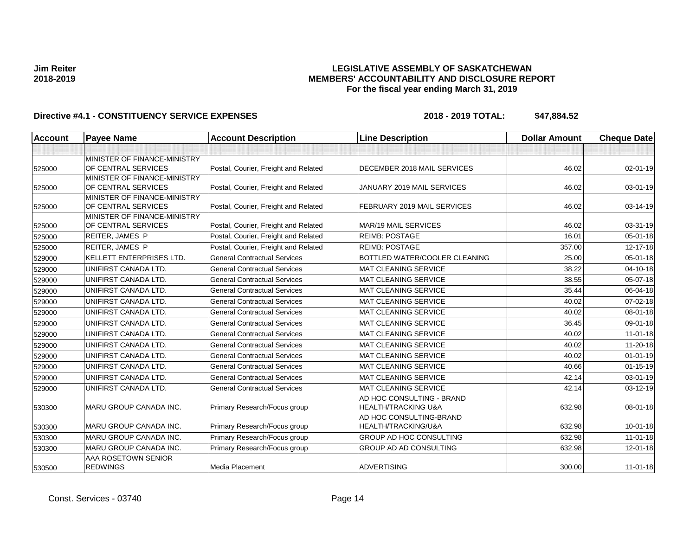# **LEGISLATIVE ASSEMBLY OF SASKATCHEWAN MEMBERS' ACCOUNTABILITY AND DISCLOSURE REPORT For the fiscal year ending March 31, 2019**

| <b>Account</b> | <b>Payee Name</b>                                   | <b>Account Description</b>           | <b>Line Description</b>                                     | <b>Dollar Amount</b> | <b>Cheque Date</b> |
|----------------|-----------------------------------------------------|--------------------------------------|-------------------------------------------------------------|----------------------|--------------------|
|                |                                                     |                                      |                                                             |                      |                    |
| 525000         | MINISTER OF FINANCE-MINISTRY<br>OF CENTRAL SERVICES | Postal, Courier, Freight and Related | DECEMBER 2018 MAIL SERVICES                                 | 46.02                | 02-01-19           |
| 525000         | MINISTER OF FINANCE-MINISTRY<br>OF CENTRAL SERVICES | Postal, Courier, Freight and Related | JANUARY 2019 MAIL SERVICES                                  | 46.02                | 03-01-19           |
| 525000         | MINISTER OF FINANCE-MINISTRY<br>OF CENTRAL SERVICES | Postal, Courier, Freight and Related | FEBRUARY 2019 MAIL SERVICES                                 | 46.02                | 03-14-19           |
| 525000         | MINISTER OF FINANCE-MINISTRY<br>OF CENTRAL SERVICES | Postal, Courier, Freight and Related | <b>MAR/19 MAIL SERVICES</b>                                 | 46.02                | 03-31-19           |
| 525000         | REITER, JAMES P                                     | Postal, Courier, Freight and Related | <b>REIMB: POSTAGE</b>                                       | 16.01                | $05 - 01 - 18$     |
| 525000         | <b>REITER, JAMES P</b>                              | Postal, Courier, Freight and Related | <b>REIMB: POSTAGE</b>                                       | 357.00               | 12-17-18           |
| 529000         | <b>KELLETT ENTERPRISES LTD.</b>                     | <b>General Contractual Services</b>  | BOTTLED WATER/COOLER CLEANING                               | 25.00                | $05 - 01 - 18$     |
| 529000         | UNIFIRST CANADA LTD.                                | <b>General Contractual Services</b>  | <b>MAT CLEANING SERVICE</b>                                 | 38.22                | 04-10-18           |
| 529000         | UNIFIRST CANADA LTD.                                | <b>General Contractual Services</b>  | <b>MAT CLEANING SERVICE</b>                                 | 38.55                | 05-07-18           |
| 529000         | UNIFIRST CANADA LTD.                                | <b>General Contractual Services</b>  | <b>MAT CLEANING SERVICE</b>                                 | 35.44                | 06-04-18           |
| 529000         | UNIFIRST CANADA LTD.                                | <b>General Contractual Services</b>  | <b>MAT CLEANING SERVICE</b>                                 | 40.02                | 07-02-18           |
| 529000         | UNIFIRST CANADA LTD.                                | <b>General Contractual Services</b>  | <b>MAT CLEANING SERVICE</b>                                 | 40.02                | 08-01-18           |
| 529000         | UNIFIRST CANADA LTD.                                | <b>General Contractual Services</b>  | <b>MAT CLEANING SERVICE</b>                                 | 36.45                | 09-01-18           |
| 529000         | UNIFIRST CANADA LTD.                                | <b>General Contractual Services</b>  | MAT CLEANING SERVICE                                        | 40.02                | $11-01-18$         |
| 529000         | UNIFIRST CANADA LTD.                                | <b>General Contractual Services</b>  | <b>MAT CLEANING SERVICE</b>                                 | 40.02                | 11-20-18           |
| 529000         | UNIFIRST CANADA LTD.                                | <b>General Contractual Services</b>  | <b>MAT CLEANING SERVICE</b>                                 | 40.02                | $01 - 01 - 19$     |
| 529000         | UNIFIRST CANADA LTD.                                | <b>General Contractual Services</b>  | <b>MAT CLEANING SERVICE</b>                                 | 40.66                | $01 - 15 - 19$     |
| 529000         | UNIFIRST CANADA LTD.                                | <b>General Contractual Services</b>  | <b>MAT CLEANING SERVICE</b>                                 | 42.14                | 03-01-19           |
| 529000         | UNIFIRST CANADA LTD.                                | <b>General Contractual Services</b>  | <b>MAT CLEANING SERVICE</b>                                 | 42.14                | 03-12-19           |
| 530300         | MARU GROUP CANADA INC.                              | Primary Research/Focus group         | AD HOC CONSULTING - BRAND<br><b>HEALTH/TRACKING U&amp;A</b> | 632.98               | 08-01-18           |
| 530300         | <b>MARU GROUP CANADA INC.</b>                       | Primary Research/Focus group         | AD HOC CONSULTING-BRAND<br>HEALTH/TRACKING/U&A              | 632.98               | $10 - 01 - 18$     |
| 530300         | <b>MARU GROUP CANADA INC.</b>                       | Primary Research/Focus group         | <b>GROUP AD HOC CONSULTING</b>                              | 632.98               | $11-01-18$         |
| 530300         | MARU GROUP CANADA INC.                              | Primary Research/Focus group         | <b>GROUP AD AD CONSULTING</b>                               | 632.98               | 12-01-18           |
| 530500         | AAA ROSETOWN SENIOR<br><b>REDWINGS</b>              | Media Placement                      | <b>ADVERTISING</b>                                          | 300.00               | $11 - 01 - 18$     |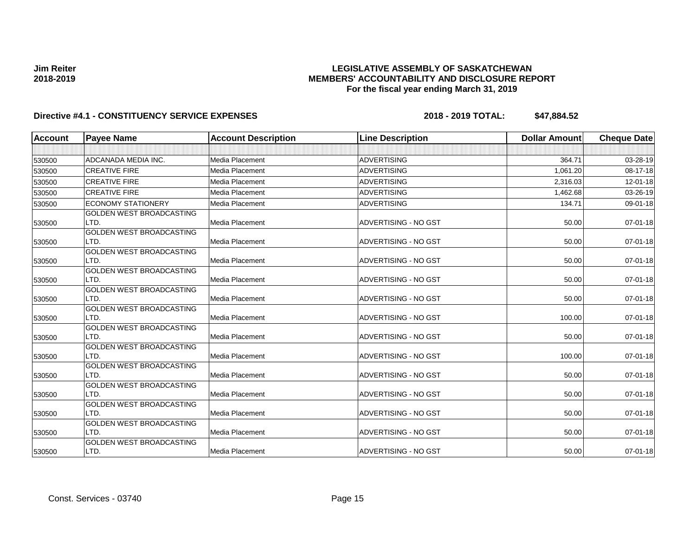## **LEGISLATIVE ASSEMBLY OF SASKATCHEWAN MEMBERS' ACCOUNTABILITY AND DISCLOSURE REPORT For the fiscal year ending March 31, 2019**

| <b>Account</b> | <b>Payee Name</b>                       | <b>Account Description</b> | <b>Line Description</b>     | <b>Dollar Amount</b> | <b>Cheque Date</b> |
|----------------|-----------------------------------------|----------------------------|-----------------------------|----------------------|--------------------|
|                |                                         |                            |                             |                      |                    |
| 530500         | ADCANADA MEDIA INC.                     | Media Placement            | <b>ADVERTISING</b>          | 364.71               | 03-28-19           |
| 530500         | <b>CREATIVE FIRE</b>                    | Media Placement            | <b>ADVERTISING</b>          | 1,061.20             | 08-17-18           |
| 530500         | <b>CREATIVE FIRE</b>                    | Media Placement            | <b>ADVERTISING</b>          | 2,316.03             | 12-01-18           |
| 530500         | <b>CREATIVE FIRE</b>                    | Media Placement            | <b>ADVERTISING</b>          | 1,462.68             | 03-26-19           |
| 530500         | <b>ECONOMY STATIONERY</b>               | Media Placement            | <b>ADVERTISING</b>          | 134.71               | 09-01-18           |
| 530500         | GOLDEN WEST BROADCASTING<br>LTD.        | Media Placement            | ADVERTISING - NO GST        | 50.00                | 07-01-18           |
| 530500         | <b>GOLDEN WEST BROADCASTING</b><br>LTD. | Media Placement            | ADVERTISING - NO GST        | 50.00                | $07 - 01 - 18$     |
| 530500         | <b>GOLDEN WEST BROADCASTING</b><br>LTD. | Media Placement            | ADVERTISING - NO GST        | 50.00                | $07 - 01 - 18$     |
| 530500         | <b>GOLDEN WEST BROADCASTING</b><br>LTD. | Media Placement            | ADVERTISING - NO GST        | 50.00                | 07-01-18           |
| 530500         | <b>GOLDEN WEST BROADCASTING</b><br>LTD. | Media Placement            | ADVERTISING - NO GST        | 50.00                | $07 - 01 - 18$     |
| 530500         | <b>GOLDEN WEST BROADCASTING</b><br>LTD. | Media Placement            | ADVERTISING - NO GST        | 100.00               | 07-01-18           |
| 530500         | <b>GOLDEN WEST BROADCASTING</b><br>LTD. | Media Placement            | <b>ADVERTISING - NO GST</b> | 50.00                | $07 - 01 - 18$     |
| 530500         | <b>GOLDEN WEST BROADCASTING</b><br>LTD. | Media Placement            | ADVERTISING - NO GST        | 100.00               | $07 - 01 - 18$     |
| 530500         | <b>GOLDEN WEST BROADCASTING</b><br>LTD. | Media Placement            | ADVERTISING - NO GST        | 50.00                | 07-01-18           |
| 530500         | <b>GOLDEN WEST BROADCASTING</b><br>LTD. | Media Placement            | ADVERTISING - NO GST        | 50.00                | 07-01-18           |
| 530500         | <b>GOLDEN WEST BROADCASTING</b><br>LTD. | Media Placement            | <b>ADVERTISING - NO GST</b> | 50.00                | 07-01-18           |
| 530500         | <b>GOLDEN WEST BROADCASTING</b><br>LTD. | Media Placement            | <b>ADVERTISING - NO GST</b> | 50.00                | 07-01-18           |
| 530500         | <b>GOLDEN WEST BROADCASTING</b><br>LTD. | Media Placement            | ADVERTISING - NO GST        | 50.00                | 07-01-18           |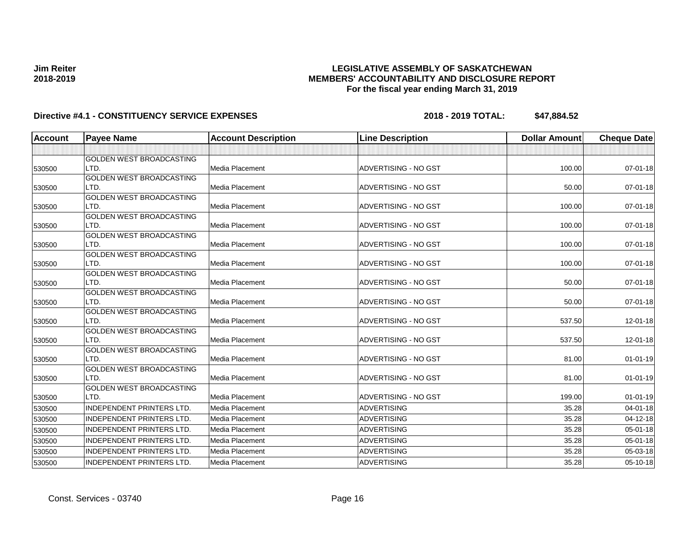## **LEGISLATIVE ASSEMBLY OF SASKATCHEWAN MEMBERS' ACCOUNTABILITY AND DISCLOSURE REPORT For the fiscal year ending March 31, 2019**

| <b>Account</b> | <b>Payee Name</b>                       | <b>Account Description</b> | <b>Line Description</b>     | <b>Dollar Amount</b> | <b>Cheque Date</b> |
|----------------|-----------------------------------------|----------------------------|-----------------------------|----------------------|--------------------|
|                |                                         |                            |                             |                      |                    |
|                | <b>GOLDEN WEST BROADCASTING</b>         |                            |                             |                      |                    |
| 530500         | LTD.                                    | <b>Media Placement</b>     | ADVERTISING - NO GST        | 100.00               | $07 - 01 - 18$     |
|                | <b>GOLDEN WEST BROADCASTING</b>         |                            |                             |                      |                    |
| 530500         | LTD.                                    | Media Placement            | ADVERTISING - NO GST        | 50.00                | 07-01-18           |
|                | GOLDEN WEST BROADCASTING                |                            |                             |                      |                    |
| 530500         | LTD.                                    | Media Placement            | ADVERTISING - NO GST        | 100.00               | 07-01-18           |
|                | <b>GOLDEN WEST BROADCASTING</b><br>LTD. | <b>Media Placement</b>     | ADVERTISING - NO GST        | 100.00               | $07 - 01 - 18$     |
| 530500         | GOLDEN WEST BROADCASTING                |                            |                             |                      |                    |
| 530500         | LTD.                                    | <b>Media Placement</b>     | ADVERTISING - NO GST        | 100.00               | $07 - 01 - 18$     |
|                | <b>GOLDEN WEST BROADCASTING</b>         |                            |                             |                      |                    |
| 530500         | LTD.                                    | <b>Media Placement</b>     | ADVERTISING - NO GST        | 100.00               | 07-01-18           |
|                | <b>GOLDEN WEST BROADCASTING</b>         |                            |                             |                      |                    |
| 530500         | LTD.                                    | Media Placement            | <b>ADVERTISING - NO GST</b> | 50.00                | $07 - 01 - 18$     |
|                | <b>GOLDEN WEST BROADCASTING</b>         |                            |                             |                      |                    |
| 530500         | LTD.                                    | <b>Media Placement</b>     | <b>ADVERTISING - NO GST</b> | 50.00                | 07-01-18           |
|                | <b>GOLDEN WEST BROADCASTING</b>         |                            |                             |                      |                    |
| 530500         | LTD.                                    | Media Placement            | ADVERTISING - NO GST        | 537.50               | $12 - 01 - 18$     |
|                | <b>GOLDEN WEST BROADCASTING</b>         |                            |                             |                      |                    |
| 530500         | LTD.                                    | Media Placement            | ADVERTISING - NO GST        | 537.50               | $12 - 01 - 18$     |
|                | GOLDEN WEST BROADCASTING<br>LTD.        | Media Placement            | ADVERTISING - NO GST        | 81.00                | $01 - 01 - 19$     |
| 530500         | <b>GOLDEN WEST BROADCASTING</b>         |                            |                             |                      |                    |
| 530500         | LTD.                                    | Media Placement            | ADVERTISING - NO GST        | 81.00                | $01-01-19$         |
|                | GOLDEN WEST BROADCASTING                |                            |                             |                      |                    |
| 530500         | LTD.                                    | <b>Media Placement</b>     | ADVERTISING - NO GST        | 199.00               | $01 - 01 - 19$     |
| 530500         | <b>INDEPENDENT PRINTERS LTD.</b>        | Media Placement            | <b>ADVERTISING</b>          | 35.28                | 04-01-18           |
| 530500         | <b>INDEPENDENT PRINTERS LTD.</b>        | Media Placement            | <b>ADVERTISING</b>          | 35.28                | 04-12-18           |
| 530500         | <b>INDEPENDENT PRINTERS LTD.</b>        | Media Placement            | <b>ADVERTISING</b>          | 35.28                | 05-01-18           |
| 530500         | <b>INDEPENDENT PRINTERS LTD.</b>        | <b>Media Placement</b>     | <b>ADVERTISING</b>          | 35.28                | 05-01-18           |
| 530500         | INDEPENDENT PRINTERS LTD.               | Media Placement            | <b>ADVERTISING</b>          | 35.28                | 05-03-18           |
|                | INDEPENDENT PRINTERS LTD.               | Media Placement            | <b>ADVERTISING</b>          | 35.28                | 05-10-18           |
| 530500         |                                         |                            |                             |                      |                    |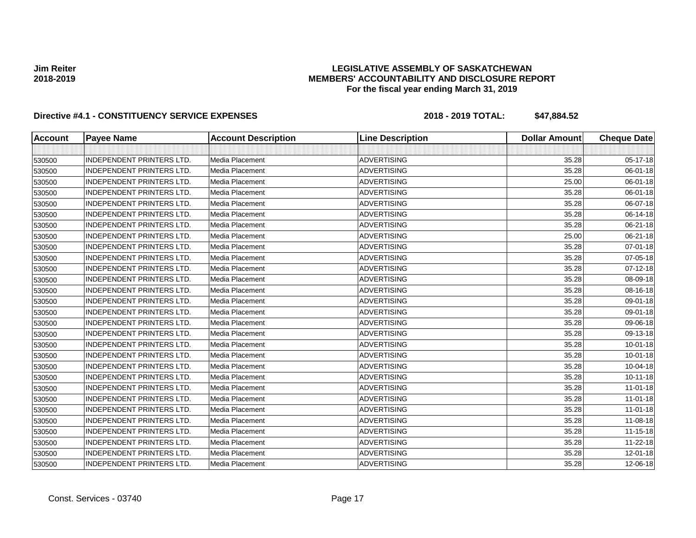## **LEGISLATIVE ASSEMBLY OF SASKATCHEWAN MEMBERS' ACCOUNTABILITY AND DISCLOSURE REPORT For the fiscal year ending March 31, 2019**

| <b>Account</b> | <b>Payee Name</b>                | <b>Account Description</b> | <b>Line Description</b> | <b>Dollar Amount</b> | <b>Cheque Date</b> |
|----------------|----------------------------------|----------------------------|-------------------------|----------------------|--------------------|
|                |                                  |                            |                         |                      |                    |
| 530500         | <b>INDEPENDENT PRINTERS LTD.</b> | Media Placement            | <b>ADVERTISING</b>      | 35.28                | 05-17-18           |
| 530500         | <b>INDEPENDENT PRINTERS LTD.</b> | Media Placement            | <b>ADVERTISING</b>      | 35.28                | 06-01-18           |
| 530500         | <b>INDEPENDENT PRINTERS LTD.</b> | Media Placement            | <b>ADVERTISING</b>      | 25.00                | 06-01-18           |
| 530500         | <b>INDEPENDENT PRINTERS LTD.</b> | Media Placement            | <b>ADVERTISING</b>      | 35.28                | 06-01-18           |
| 530500         | <b>INDEPENDENT PRINTERS LTD.</b> | Media Placement            | <b>ADVERTISING</b>      | 35.28                | 06-07-18           |
| 530500         | <b>INDEPENDENT PRINTERS LTD.</b> | Media Placement            | <b>ADVERTISING</b>      | 35.28                | 06-14-18           |
| 530500         | <b>INDEPENDENT PRINTERS LTD.</b> | Media Placement            | <b>ADVERTISING</b>      | 35.28                | 06-21-18           |
| 530500         | <b>INDEPENDENT PRINTERS LTD.</b> | Media Placement            | <b>ADVERTISING</b>      | 25.00                | 06-21-18           |
| 530500         | <b>INDEPENDENT PRINTERS LTD.</b> | Media Placement            | <b>ADVERTISING</b>      | 35.28                | 07-01-18           |
| 530500         | <b>INDEPENDENT PRINTERS LTD.</b> | Media Placement            | <b>ADVERTISING</b>      | 35.28                | 07-05-18           |
| 530500         | <b>INDEPENDENT PRINTERS LTD.</b> | Media Placement            | <b>ADVERTISING</b>      | 35.28                | 07-12-18           |
| 530500         | <b>INDEPENDENT PRINTERS LTD.</b> | Media Placement            | <b>ADVERTISING</b>      | 35.28                | 08-09-18           |
| 530500         | INDEPENDENT PRINTERS LTD.        | Media Placement            | <b>ADVERTISING</b>      | 35.28                | 08-16-18           |
| 530500         | <b>INDEPENDENT PRINTERS LTD.</b> | Media Placement            | <b>ADVERTISING</b>      | 35.28                | 09-01-18           |
| 530500         | <b>INDEPENDENT PRINTERS LTD.</b> | Media Placement            | <b>ADVERTISING</b>      | 35.28                | 09-01-18           |
| 530500         | <b>INDEPENDENT PRINTERS LTD.</b> | Media Placement            | <b>ADVERTISING</b>      | 35.28                | 09-06-18           |
| 530500         | <b>INDEPENDENT PRINTERS LTD.</b> | Media Placement            | ADVERTISING             | 35.28                | 09-13-18           |
| 530500         | <b>INDEPENDENT PRINTERS LTD.</b> | Media Placement            | <b>ADVERTISING</b>      | 35.28                | $10 - 01 - 18$     |
| 530500         | <b>INDEPENDENT PRINTERS LTD.</b> | Media Placement            | <b>ADVERTISING</b>      | 35.28                | $10 - 01 - 18$     |
| 530500         | <b>INDEPENDENT PRINTERS LTD.</b> | Media Placement            | <b>ADVERTISING</b>      | 35.28                | 10-04-18           |
| 530500         | <b>INDEPENDENT PRINTERS LTD.</b> | Media Placement            | <b>ADVERTISING</b>      | 35.28                | $10 - 11 - 18$     |
| 530500         | <b>INDEPENDENT PRINTERS LTD.</b> | Media Placement            | <b>ADVERTISING</b>      | 35.28                | $11-01-18$         |
| 530500         | <b>INDEPENDENT PRINTERS LTD.</b> | Media Placement            | <b>ADVERTISING</b>      | 35.28                | $11-01-18$         |
| 530500         | <b>INDEPENDENT PRINTERS LTD.</b> | Media Placement            | <b>ADVERTISING</b>      | 35.28                | $11-01-18$         |
| 530500         | <b>INDEPENDENT PRINTERS LTD.</b> | Media Placement            | <b>ADVERTISING</b>      | 35.28                | 11-08-18           |
| 530500         | <b>INDEPENDENT PRINTERS LTD.</b> | Media Placement            | <b>ADVERTISING</b>      | 35.28                | $11 - 15 - 18$     |
| 530500         | INDEPENDENT PRINTERS LTD.        | Media Placement            | <b>ADVERTISING</b>      | 35.28                | $11 - 22 - 18$     |
| 530500         | <b>INDEPENDENT PRINTERS LTD.</b> | Media Placement            | <b>ADVERTISING</b>      | 35.28                | 12-01-18           |
| 530500         | <b>INDEPENDENT PRINTERS LTD.</b> | Media Placement            | <b>ADVERTISING</b>      | 35.28                | 12-06-18           |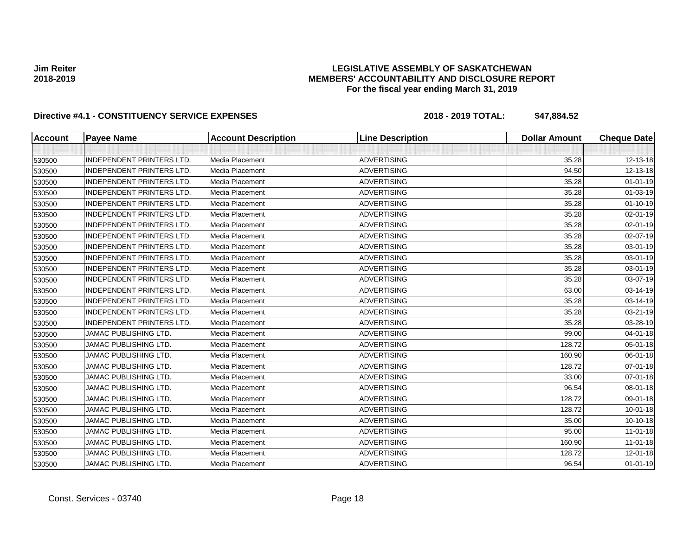## **LEGISLATIVE ASSEMBLY OF SASKATCHEWAN MEMBERS' ACCOUNTABILITY AND DISCLOSURE REPORT For the fiscal year ending March 31, 2019**

| <b>Account</b> | <b>Payee Name</b>                | <b>Account Description</b> | <b>Line Description</b> | <b>Dollar Amount</b> | <b>Cheque Date</b> |
|----------------|----------------------------------|----------------------------|-------------------------|----------------------|--------------------|
|                |                                  |                            |                         |                      |                    |
| 530500         | <b>INDEPENDENT PRINTERS LTD.</b> | Media Placement            | <b>ADVERTISING</b>      | 35.28                | 12-13-18           |
| 530500         | <b>INDEPENDENT PRINTERS LTD.</b> | Media Placement            | <b>ADVERTISING</b>      | 94.50                | 12-13-18           |
| 530500         | <b>INDEPENDENT PRINTERS LTD.</b> | Media Placement            | <b>ADVERTISING</b>      | 35.28                | $01 - 01 - 19$     |
| 530500         | <b>INDEPENDENT PRINTERS LTD.</b> | Media Placement            | <b>ADVERTISING</b>      | 35.28                | 01-03-19           |
| 530500         | <b>INDEPENDENT PRINTERS LTD.</b> | Media Placement            | <b>ADVERTISING</b>      | 35.28                | $01 - 10 - 19$     |
| 530500         | <b>INDEPENDENT PRINTERS LTD.</b> | Media Placement            | <b>ADVERTISING</b>      | 35.28                | 02-01-19           |
| 530500         | <b>INDEPENDENT PRINTERS LTD.</b> | Media Placement            | <b>ADVERTISING</b>      | 35.28                | 02-01-19           |
| 530500         | <b>INDEPENDENT PRINTERS LTD.</b> | Media Placement            | <b>ADVERTISING</b>      | 35.28                | 02-07-19           |
| 530500         | <b>INDEPENDENT PRINTERS LTD.</b> | Media Placement            | <b>ADVERTISING</b>      | 35.28                | 03-01-19           |
| 530500         | <b>INDEPENDENT PRINTERS LTD.</b> | Media Placement            | <b>ADVERTISING</b>      | 35.28                | 03-01-19           |
| 530500         | <b>INDEPENDENT PRINTERS LTD.</b> | Media Placement            | <b>ADVERTISING</b>      | 35.28                | 03-01-19           |
| 530500         | INDEPENDENT PRINTERS LTD.        | Media Placement            | <b>ADVERTISING</b>      | 35.28                | 03-07-19           |
| 530500         | <b>INDEPENDENT PRINTERS LTD.</b> | Media Placement            | <b>ADVERTISING</b>      | 63.00                | 03-14-19           |
| 530500         | INDEPENDENT PRINTERS LTD.        | Media Placement            | <b>ADVERTISING</b>      | 35.28                | 03-14-19           |
| 530500         | <b>INDEPENDENT PRINTERS LTD.</b> | Media Placement            | <b>ADVERTISING</b>      | 35.28                | 03-21-19           |
| 530500         | <b>INDEPENDENT PRINTERS LTD.</b> | Media Placement            | <b>ADVERTISING</b>      | 35.28                | 03-28-19           |
| 530500         | <b>JAMAC PUBLISHING LTD.</b>     | Media Placement            | <b>ADVERTISING</b>      | 99.00                | 04-01-18           |
| 530500         | <b>JAMAC PUBLISHING LTD.</b>     | Media Placement            | <b>ADVERTISING</b>      | 128.72               | 05-01-18           |
| 530500         | JAMAC PUBLISHING LTD.            | Media Placement            | <b>ADVERTISING</b>      | 160.90               | 06-01-18           |
| 530500         | <b>JAMAC PUBLISHING LTD.</b>     | Media Placement            | <b>ADVERTISING</b>      | 128.72               | 07-01-18           |
| 530500         | <b>JAMAC PUBLISHING LTD.</b>     | Media Placement            | <b>ADVERTISING</b>      | 33.00                | 07-01-18           |
| 530500         | <b>JAMAC PUBLISHING LTD.</b>     | Media Placement            | <b>ADVERTISING</b>      | 96.54                | 08-01-18           |
| 530500         | JAMAC PUBLISHING LTD.            | Media Placement            | <b>ADVERTISING</b>      | 128.72               | 09-01-18           |
| 530500         | JAMAC PUBLISHING LTD.            | Media Placement            | <b>ADVERTISING</b>      | 128.72               | $10 - 01 - 18$     |
| 530500         | JAMAC PUBLISHING LTD.            | Media Placement            | <b>ADVERTISING</b>      | 35.00                | 10-10-18           |
| 530500         | JAMAC PUBLISHING LTD.            | Media Placement            | <b>ADVERTISING</b>      | 95.00                | $11-01-18$         |
| 530500         | JAMAC PUBLISHING LTD.            | Media Placement            | <b>ADVERTISING</b>      | 160.90               | $11-01-18$         |
| 530500         | <b>JAMAC PUBLISHING LTD.</b>     | Media Placement            | <b>ADVERTISING</b>      | 128.72               | 12-01-18           |
| 530500         | <b>JAMAC PUBLISHING LTD.</b>     | Media Placement            | <b>ADVERTISING</b>      | 96.54                | $01 - 01 - 19$     |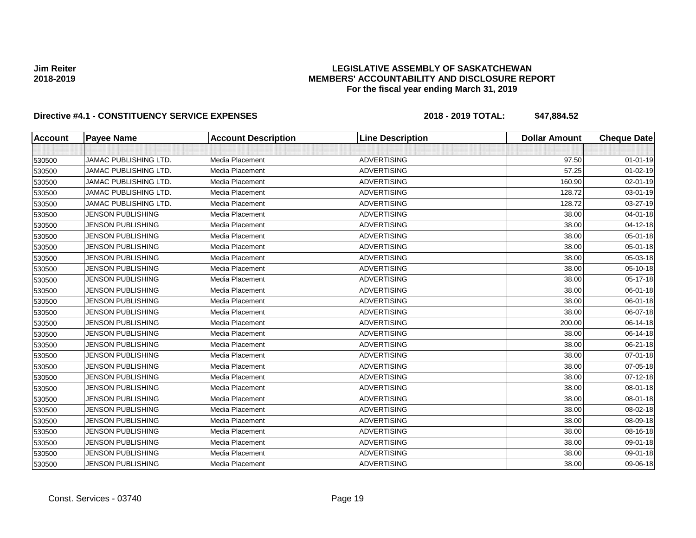## **LEGISLATIVE ASSEMBLY OF SASKATCHEWAN MEMBERS' ACCOUNTABILITY AND DISCLOSURE REPORT For the fiscal year ending March 31, 2019**

| <b>Account</b> | <b>Payee Name</b>            | <b>Account Description</b> | <b>Line Description</b> | <b>Dollar Amount</b> | <b>Cheque Date</b> |
|----------------|------------------------------|----------------------------|-------------------------|----------------------|--------------------|
|                |                              |                            |                         |                      |                    |
| 530500         | <b>JAMAC PUBLISHING LTD.</b> | Media Placement            | <b>ADVERTISING</b>      | 97.50                | $01 - 01 - 19$     |
| 530500         | <b>JAMAC PUBLISHING LTD.</b> | Media Placement            | <b>ADVERTISING</b>      | 57.25                | $01 - 02 - 19$     |
| 530500         | <b>JAMAC PUBLISHING LTD.</b> | Media Placement            | <b>ADVERTISING</b>      | 160.90               | 02-01-19           |
| 530500         | JAMAC PUBLISHING LTD.        | Media Placement            | <b>ADVERTISING</b>      | 128.72               | 03-01-19           |
| 530500         | <b>JAMAC PUBLISHING LTD.</b> | Media Placement            | <b>ADVERTISING</b>      | 128.72               | 03-27-19           |
| 530500         | <b>JENSON PUBLISHING</b>     | Media Placement            | <b>ADVERTISING</b>      | 38.00                | $04 - 01 - 18$     |
| 530500         | <b>JENSON PUBLISHING</b>     | Media Placement            | <b>ADVERTISING</b>      | 38.00                | 04-12-18           |
| 530500         | <b>JENSON PUBLISHING</b>     | Media Placement            | <b>ADVERTISING</b>      | 38.00                | 05-01-18           |
| 530500         | <b>JENSON PUBLISHING</b>     | Media Placement            | <b>ADVERTISING</b>      | 38.00                | 05-01-18           |
| 530500         | <b>JENSON PUBLISHING</b>     | Media Placement            | <b>ADVERTISING</b>      | 38.00                | 05-03-18           |
| 530500         | <b>JENSON PUBLISHING</b>     | Media Placement            | <b>ADVERTISING</b>      | 38.00                | 05-10-18           |
| 530500         | <b>JENSON PUBLISHING</b>     | Media Placement            | <b>ADVERTISING</b>      | 38.00                | 05-17-18           |
| 530500         | <b>JENSON PUBLISHING</b>     | Media Placement            | <b>ADVERTISING</b>      | 38.00                | 06-01-18           |
| 530500         | <b>JENSON PUBLISHING</b>     | Media Placement            | <b>ADVERTISING</b>      | 38.00                | 06-01-18           |
| 530500         | <b>JENSON PUBLISHING</b>     | Media Placement            | <b>ADVERTISING</b>      | 38.00                | 06-07-18           |
| 530500         | <b>JENSON PUBLISHING</b>     | Media Placement            | <b>ADVERTISING</b>      | 200.00               | 06-14-18           |
| 530500         | <b>JENSON PUBLISHING</b>     | Media Placement            | <b>ADVERTISING</b>      | 38.00                | 06-14-18           |
| 530500         | <b>JENSON PUBLISHING</b>     | Media Placement            | <b>ADVERTISING</b>      | 38.00                | 06-21-18           |
| 530500         | <b>JENSON PUBLISHING</b>     | Media Placement            | <b>ADVERTISING</b>      | 38.00                | 07-01-18           |
| 530500         | <b>JENSON PUBLISHING</b>     | Media Placement            | <b>ADVERTISING</b>      | 38.00                | 07-05-18           |
| 530500         | <b>JENSON PUBLISHING</b>     | Media Placement            | <b>ADVERTISING</b>      | 38.00                | 07-12-18           |
| 530500         | <b>JENSON PUBLISHING</b>     | Media Placement            | <b>ADVERTISING</b>      | 38.00                | 08-01-18           |
| 530500         | <b>JENSON PUBLISHING</b>     | Media Placement            | <b>ADVERTISING</b>      | 38.00                | 08-01-18           |
| 530500         | <b>JENSON PUBLISHING</b>     | Media Placement            | <b>ADVERTISING</b>      | 38.00                | 08-02-18           |
| 530500         | <b>JENSON PUBLISHING</b>     | Media Placement            | <b>ADVERTISING</b>      | 38.00                | 08-09-18           |
| 530500         | <b>JENSON PUBLISHING</b>     | Media Placement            | <b>ADVERTISING</b>      | 38.00                | 08-16-18           |
| 530500         | <b>JENSON PUBLISHING</b>     | Media Placement            | <b>ADVERTISING</b>      | 38.00                | 09-01-18           |
| 530500         | <b>JENSON PUBLISHING</b>     | Media Placement            | <b>ADVERTISING</b>      | 38.00                | 09-01-18           |
| 530500         | <b>JENSON PUBLISHING</b>     | Media Placement            | <b>ADVERTISING</b>      | 38.00                | 09-06-18           |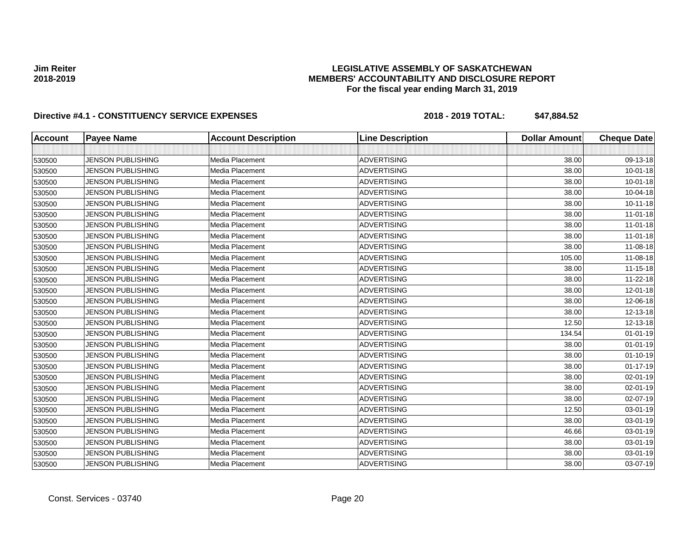## **LEGISLATIVE ASSEMBLY OF SASKATCHEWAN MEMBERS' ACCOUNTABILITY AND DISCLOSURE REPORT For the fiscal year ending March 31, 2019**

| <b>Account</b> | <b>Payee Name</b>        | <b>Account Description</b> | <b>Line Description</b> | <b>Dollar Amount</b> | <b>Cheque Date</b> |
|----------------|--------------------------|----------------------------|-------------------------|----------------------|--------------------|
|                |                          |                            |                         |                      |                    |
| 530500         | <b>JENSON PUBLISHING</b> | Media Placement            | <b>ADVERTISING</b>      | 38.00                | 09-13-18           |
| 530500         | <b>JENSON PUBLISHING</b> | Media Placement            | <b>ADVERTISING</b>      | 38.00                | $10 - 01 - 18$     |
| 530500         | <b>JENSON PUBLISHING</b> | Media Placement            | <b>ADVERTISING</b>      | 38.00                | $10 - 01 - 18$     |
| 530500         | <b>JENSON PUBLISHING</b> | Media Placement            | <b>ADVERTISING</b>      | 38.00                | 10-04-18           |
| 530500         | <b>JENSON PUBLISHING</b> | Media Placement            | <b>ADVERTISING</b>      | 38.00                | $10 - 11 - 18$     |
| 530500         | <b>JENSON PUBLISHING</b> | Media Placement            | <b>ADVERTISING</b>      | 38.00                | $11-01-18$         |
| 530500         | <b>JENSON PUBLISHING</b> | Media Placement            | <b>ADVERTISING</b>      | 38.00                | $11 - 01 - 18$     |
| 530500         | <b>JENSON PUBLISHING</b> | Media Placement            | <b>ADVERTISING</b>      | 38.00                | $11-01-18$         |
| 530500         | <b>JENSON PUBLISHING</b> | Media Placement            | <b>ADVERTISING</b>      | 38.00                | 11-08-18           |
| 530500         | <b>JENSON PUBLISHING</b> | Media Placement            | <b>ADVERTISING</b>      | 105.00               | 11-08-18           |
| 530500         | <b>JENSON PUBLISHING</b> | Media Placement            | <b>ADVERTISING</b>      | 38.00                | $11 - 15 - 18$     |
| 530500         | <b>JENSON PUBLISHING</b> | Media Placement            | <b>ADVERTISING</b>      | 38.00                | $11 - 22 - 18$     |
| 530500         | <b>JENSON PUBLISHING</b> | Media Placement            | <b>ADVERTISING</b>      | 38.00                | 12-01-18           |
| 530500         | <b>JENSON PUBLISHING</b> | Media Placement            | <b>ADVERTISING</b>      | 38.00                | 12-06-18           |
| 530500         | <b>JENSON PUBLISHING</b> | Media Placement            | <b>ADVERTISING</b>      | 38.00                | 12-13-18           |
| 530500         | <b>JENSON PUBLISHING</b> | Media Placement            | <b>ADVERTISING</b>      | 12.50                | 12-13-18           |
| 530500         | <b>JENSON PUBLISHING</b> | Media Placement            | <b>ADVERTISING</b>      | 134.54               | $01 - 01 - 19$     |
| 530500         | <b>JENSON PUBLISHING</b> | Media Placement            | <b>ADVERTISING</b>      | 38.00                | $01 - 01 - 19$     |
| 530500         | <b>JENSON PUBLISHING</b> | Media Placement            | <b>ADVERTISING</b>      | 38.00                | $01 - 10 - 19$     |
| 530500         | <b>JENSON PUBLISHING</b> | Media Placement            | <b>ADVERTISING</b>      | 38.00                | $01 - 17 - 19$     |
| 530500         | <b>JENSON PUBLISHING</b> | Media Placement            | <b>ADVERTISING</b>      | 38.00                | 02-01-19           |
| 530500         | <b>JENSON PUBLISHING</b> | Media Placement            | <b>ADVERTISING</b>      | 38.00                | $02 - 01 - 19$     |
| 530500         | <b>JENSON PUBLISHING</b> | Media Placement            | <b>ADVERTISING</b>      | 38.00                | 02-07-19           |
| 530500         | <b>JENSON PUBLISHING</b> | Media Placement            | <b>ADVERTISING</b>      | 12.50                | 03-01-19           |
| 530500         | <b>JENSON PUBLISHING</b> | Media Placement            | <b>ADVERTISING</b>      | 38.00                | 03-01-19           |
| 530500         | <b>JENSON PUBLISHING</b> | Media Placement            | <b>ADVERTISING</b>      | 46.66                | 03-01-19           |
| 530500         | <b>JENSON PUBLISHING</b> | Media Placement            | <b>ADVERTISING</b>      | 38.00                | 03-01-19           |
| 530500         | <b>JENSON PUBLISHING</b> | Media Placement            | <b>ADVERTISING</b>      | 38.00                | 03-01-19           |
| 530500         | <b>JENSON PUBLISHING</b> | Media Placement            | <b>ADVERTISING</b>      | 38.00                | 03-07-19           |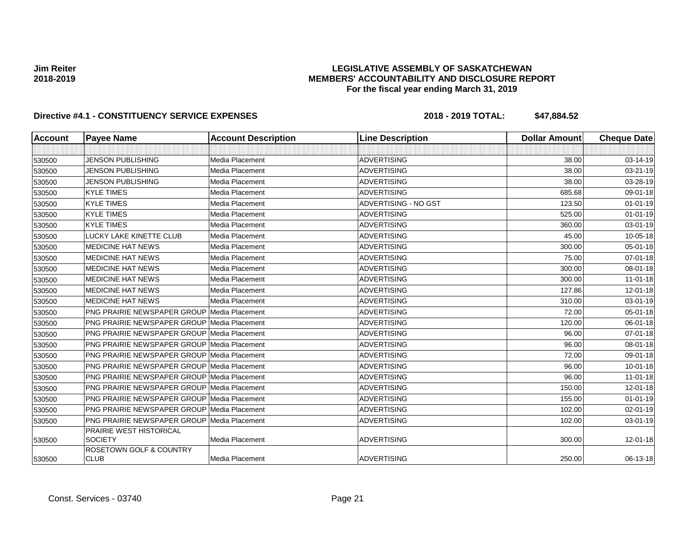# **LEGISLATIVE ASSEMBLY OF SASKATCHEWAN MEMBERS' ACCOUNTABILITY AND DISCLOSURE REPORT For the fiscal year ending March 31, 2019**

| Account | <b>Payee Name</b>                                  | <b>Account Description</b> | <b>Line Description</b>     | <b>Dollar Amount</b> | <b>Cheque Date</b> |
|---------|----------------------------------------------------|----------------------------|-----------------------------|----------------------|--------------------|
|         |                                                    |                            |                             |                      |                    |
| 530500  | <b>JENSON PUBLISHING</b>                           | Media Placement            | <b>ADVERTISING</b>          | 38.00                | 03-14-19           |
| 530500  | <b>JENSON PUBLISHING</b>                           | Media Placement            | <b>ADVERTISING</b>          | 38.00                | 03-21-19           |
| 530500  | <b>JENSON PUBLISHING</b>                           | Media Placement            | <b>ADVERTISING</b>          | 38.00                | 03-28-19           |
| 530500  | <b>KYLE TIMES</b>                                  | Media Placement            | <b>ADVERTISING</b>          | 685.68               | 09-01-18           |
| 530500  | <b>KYLE TIMES</b>                                  | Media Placement            | <b>ADVERTISING - NO GST</b> | 123.50               | $01 - 01 - 19$     |
| 530500  | <b>KYLE TIMES</b>                                  | Media Placement            | <b>ADVERTISING</b>          | 525.00               | $01 - 01 - 19$     |
| 530500  | <b>KYLE TIMES</b>                                  | Media Placement            | <b>ADVERTISING</b>          | 360.00               | 03-01-19           |
| 530500  | LUCKY LAKE KINETTE CLUB                            | Media Placement            | <b>ADVERTISING</b>          | 45.00                | 10-05-18           |
| 530500  | <b>MEDICINE HAT NEWS</b>                           | Media Placement            | <b>ADVERTISING</b>          | 300.00               | 05-01-18           |
| 530500  | <b>MEDICINE HAT NEWS</b>                           | Media Placement            | <b>ADVERTISING</b>          | 75.00                | 07-01-18           |
| 530500  | <b>MEDICINE HAT NEWS</b>                           | Media Placement            | <b>ADVERTISING</b>          | 300.00               | 08-01-18           |
| 530500  | <b>MEDICINE HAT NEWS</b>                           | Media Placement            | <b>ADVERTISING</b>          | 300.00               | $11 - 01 - 18$     |
| 530500  | <b>MEDICINE HAT NEWS</b>                           | Media Placement            | <b>ADVERTISING</b>          | 127.86               | 12-01-18           |
| 530500  | <b>MEDICINE HAT NEWS</b>                           | Media Placement            | <b>ADVERTISING</b>          | 310.00               | 03-01-19           |
| 530500  | <b>PNG PRAIRIE NEWSPAPER GROUP Media Placement</b> |                            | <b>ADVERTISING</b>          | 72.00                | 05-01-18           |
| 530500  | <b>PNG PRAIRIE NEWSPAPER GROUP Media Placement</b> |                            | <b>ADVERTISING</b>          | 120.00               | 06-01-18           |
| 530500  | <b>PNG PRAIRIE NEWSPAPER GROUP Media Placement</b> |                            | <b>ADVERTISING</b>          | 96.00                | 07-01-18           |
| 530500  | <b>PNG PRAIRIE NEWSPAPER GROUP Media Placement</b> |                            | <b>ADVERTISING</b>          | 96.00                | 08-01-18           |
| 530500  | <b>PNG PRAIRIE NEWSPAPER GROUP Media Placement</b> |                            | <b>ADVERTISING</b>          | 72.00                | 09-01-18           |
| 530500  | <b>PNG PRAIRIE NEWSPAPER GROUP Media Placement</b> |                            | <b>ADVERTISING</b>          | 96.00                | $10 - 01 - 18$     |
| 530500  | <b>PNG PRAIRIE NEWSPAPER GROUP Media Placement</b> |                            | <b>ADVERTISING</b>          | 96.00                | $11-01-18$         |
| 530500  | <b>PNG PRAIRIE NEWSPAPER GROUP Media Placement</b> |                            | <b>ADVERTISING</b>          | 150.00               | 12-01-18           |
| 530500  | PNG PRAIRIE NEWSPAPER GROUP Media Placement        |                            | <b>ADVERTISING</b>          | 155.00               | $01 - 01 - 19$     |
| 530500  | <b>PNG PRAIRIE NEWSPAPER GROUP Media Placement</b> |                            | <b>ADVERTISING</b>          | 102.00               | 02-01-19           |
| 530500  | <b>PNG PRAIRIE NEWSPAPER GROUP Media Placement</b> |                            | <b>ADVERTISING</b>          | 102.00               | 03-01-19           |
| 530500  | PRAIRIE WEST HISTORICAL<br><b>SOCIETY</b>          | Media Placement            | <b>ADVERTISING</b>          | 300.00               | 12-01-18           |
| 530500  | ROSETOWN GOLF & COUNTRY<br><b>CLUB</b>             | Media Placement            | <b>ADVERTISING</b>          | 250.00               | 06-13-18           |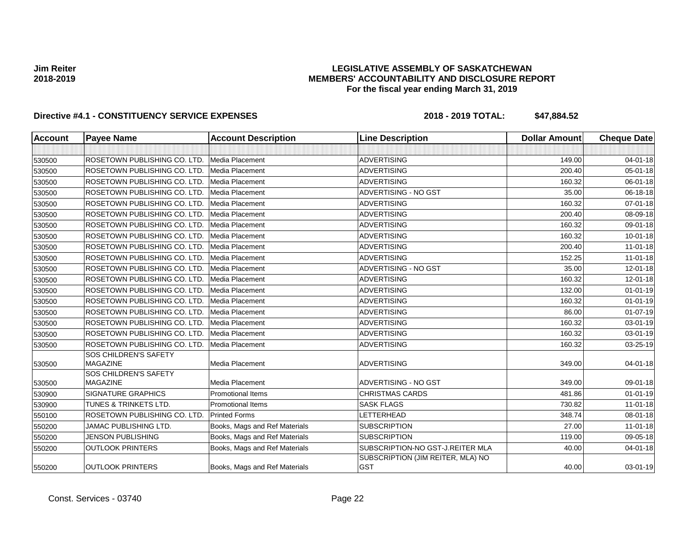# **LEGISLATIVE ASSEMBLY OF SASKATCHEWAN MEMBERS' ACCOUNTABILITY AND DISCLOSURE REPORT For the fiscal year ending March 31, 2019**

| <b>Account</b> | <b>Payee Name</b>                        | <b>Account Description</b>    | <b>Line Description</b>                         | <b>Dollar Amount</b> | <b>Cheque Date</b> |
|----------------|------------------------------------------|-------------------------------|-------------------------------------------------|----------------------|--------------------|
|                |                                          |                               |                                                 |                      |                    |
| 530500         | ROSETOWN PUBLISHING CO. LTD.             | Media Placement               | <b>ADVERTISING</b>                              | 149.00               | 04-01-18           |
| 530500         | ROSETOWN PUBLISHING CO. LTD.             | Media Placement               | <b>ADVERTISING</b>                              | 200.40               | $05 - 01 - 18$     |
| 530500         | ROSETOWN PUBLISHING CO. LTD.             | Media Placement               | <b>ADVERTISING</b>                              | 160.32               | 06-01-18           |
| 530500         | ROSETOWN PUBLISHING CO. LTD.             | <b>Media Placement</b>        | ADVERTISING - NO GST                            | 35.00                | 06-18-18           |
| 530500         | ROSETOWN PUBLISHING CO. LTD.             | Media Placement               | <b>ADVERTISING</b>                              | 160.32               | 07-01-18           |
| 530500         | ROSETOWN PUBLISHING CO. LTD.             | Media Placement               | <b>ADVERTISING</b>                              | 200.40               | 08-09-18           |
| 530500         | ROSETOWN PUBLISHING CO. LTD.             | Media Placement               | <b>ADVERTISING</b>                              | 160.32               | 09-01-18           |
| 530500         | ROSETOWN PUBLISHING CO. LTD.             | Media Placement               | <b>ADVERTISING</b>                              | 160.32               | $10 - 01 - 18$     |
| 530500         | ROSETOWN PUBLISHING CO. LTD.             | <b>Media Placement</b>        | <b>ADVERTISING</b>                              | 200.40               | $11-01-18$         |
| 530500         | ROSETOWN PUBLISHING CO. LTD.             | Media Placement               | <b>ADVERTISING</b>                              | 152.25               | $11 - 01 - 18$     |
| 530500         | ROSETOWN PUBLISHING CO. LTD.             | Media Placement               | ADVERTISING - NO GST                            | 35.00                | 12-01-18           |
| 530500         | ROSETOWN PUBLISHING CO. LTD.             | <b>Media Placement</b>        | <b>ADVERTISING</b>                              | 160.32               | 12-01-18           |
| 530500         | ROSETOWN PUBLISHING CO. LTD.             | Media Placement               | <b>ADVERTISING</b>                              | 132.00               | $01 - 01 - 19$     |
| 530500         | ROSETOWN PUBLISHING CO. LTD.             | Media Placement               | <b>ADVERTISING</b>                              | 160.32               | $01 - 01 - 19$     |
| 530500         | ROSETOWN PUBLISHING CO. LTD.             | Media Placement               | ADVERTISING                                     | 86.00                | $01-07-19$         |
| 530500         | ROSETOWN PUBLISHING CO. LTD.             | Media Placement               | <b>ADVERTISING</b>                              | 160.32               | 03-01-19           |
| 530500         | ROSETOWN PUBLISHING CO. LTD.             | Media Placement               | <b>ADVERTISING</b>                              | 160.32               | 03-01-19           |
| 530500         | ROSETOWN PUBLISHING CO. LTD.             | <b>Media Placement</b>        | <b>ADVERTISING</b>                              | 160.32               | 03-25-19           |
| 530500         | SOS CHILDREN'S SAFETY<br><b>MAGAZINE</b> | Media Placement               | <b>ADVERTISING</b>                              | 349.00               | $04 - 01 - 18$     |
| 530500         | SOS CHILDREN'S SAFETY<br><b>MAGAZINE</b> | Media Placement               | ADVERTISING - NO GST                            | 349.00               | 09-01-18           |
| 530900         | <b>SIGNATURE GRAPHICS</b>                | <b>Promotional Items</b>      | <b>CHRISTMAS CARDS</b>                          | 481.86               | $01 - 01 - 19$     |
| 530900         | TUNES & TRINKETS LTD.                    | <b>Promotional Items</b>      | <b>SASK FLAGS</b>                               | 730.82               | $11 - 01 - 18$     |
| 550100         | ROSETOWN PUBLISHING CO. LTD.             | <b>Printed Forms</b>          | LETTERHEAD                                      | 348.74               | 08-01-18           |
| 550200         | <b>JAMAC PUBLISHING LTD.</b>             | Books, Mags and Ref Materials | <b>SUBSCRIPTION</b>                             | 27.00                | $11-01-18$         |
| 550200         | <b>JENSON PUBLISHING</b>                 | Books, Mags and Ref Materials | <b>SUBSCRIPTION</b>                             | 119.00               | 09-05-18           |
| 550200         | <b>OUTLOOK PRINTERS</b>                  | Books, Mags and Ref Materials | SUBSCRIPTION-NO GST-J.REITER MLA                | 40.00                | $04 - 01 - 18$     |
| 550200         | <b>OUTLOOK PRINTERS</b>                  | Books, Mags and Ref Materials | SUBSCRIPTION (JIM REITER, MLA) NO<br><b>GST</b> | 40.00                | 03-01-19           |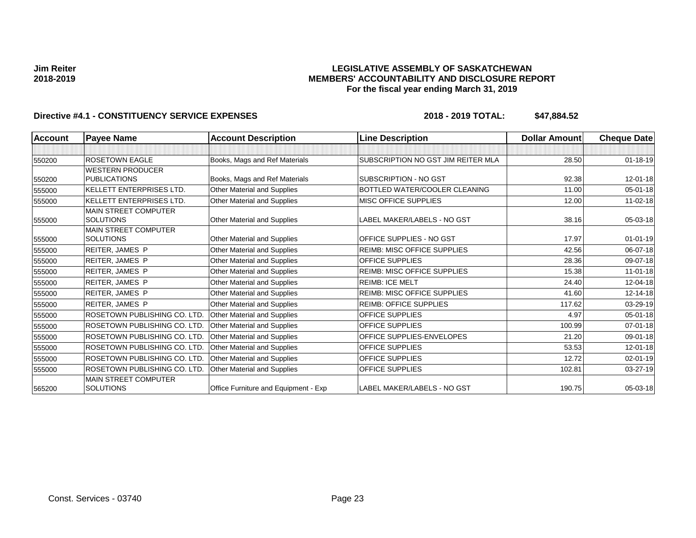# **LEGISLATIVE ASSEMBLY OF SASKATCHEWAN MEMBERS' ACCOUNTABILITY AND DISCLOSURE REPORT For the fiscal year ending March 31, 2019**

| <b>Account</b> | <b>Payee Name</b>                               | <b>Account Description</b>           | <b>Line Description</b>            | <b>Dollar Amount</b> | <b>Cheque Date</b> |
|----------------|-------------------------------------------------|--------------------------------------|------------------------------------|----------------------|--------------------|
|                |                                                 |                                      |                                    |                      |                    |
| 550200         | <b>ROSETOWN EAGLE</b>                           | Books, Mags and Ref Materials        | SUBSCRIPTION NO GST JIM REITER MLA | 28.50                | $01 - 18 - 19$     |
|                | <b>WESTERN PRODUCER</b>                         |                                      |                                    |                      |                    |
| 550200         | <b>PUBLICATIONS</b>                             | Books, Mags and Ref Materials        | SUBSCRIPTION - NO GST              | 92.38                | 12-01-18           |
| 555000         | <b>KELLETT ENTERPRISES LTD.</b>                 | <b>Other Material and Supplies</b>   | BOTTLED WATER/COOLER CLEANING      | 11.00                | 05-01-18           |
| 555000         | KELLETT ENTERPRISES LTD.                        | Other Material and Supplies          | MISC OFFICE SUPPLIES               | 12.00                | $11 - 02 - 18$     |
|                | <b>MAIN STREET COMPUTER</b>                     |                                      |                                    |                      |                    |
| 555000         | <b>SOLUTIONS</b>                                | Other Material and Supplies          | LABEL MAKER/LABELS - NO GST        | 38.16                | 05-03-18           |
|                | <b>MAIN STREET COMPUTER</b>                     |                                      |                                    |                      |                    |
| 555000         | <b>SOLUTIONS</b>                                | <b>Other Material and Supplies</b>   | OFFICE SUPPLIES - NO GST           | 17.97                | $01 - 01 - 19$     |
| 555000         | REITER, JAMES P                                 | Other Material and Supplies          | <b>REIMB: MISC OFFICE SUPPLIES</b> | 42.56                | 06-07-18           |
| 555000         | <b>REITER, JAMES P</b>                          | Other Material and Supplies          | <b>OFFICE SUPPLIES</b>             | 28.36                | 09-07-18           |
| 555000         | <b>REITER, JAMES P</b>                          | Other Material and Supplies          | <b>REIMB: MISC OFFICE SUPPLIES</b> | 15.38                | $11-01-18$         |
| 555000         | <b>REITER, JAMES P</b>                          | Other Material and Supplies          | <b>REIMB: ICE MELT</b>             | 24.40                | 12-04-18           |
| 555000         | <b>REITER, JAMES P</b>                          | Other Material and Supplies          | <b>REIMB: MISC OFFICE SUPPLIES</b> | 41.60                | 12-14-18           |
| 555000         | REITER, JAMES P                                 | Other Material and Supplies          | REIMB: OFFICE SUPPLIES             | 117.62               | 03-29-19           |
| 555000         | ROSETOWN PUBLISHING CO. LTD.                    | Other Material and Supplies          | <b>OFFICE SUPPLIES</b>             | 4.97                 | 05-01-18           |
| 555000         | ROSETOWN PUBLISHING CO. LTD.                    | Other Material and Supplies          | OFFICE SUPPLIES                    | 100.99               | 07-01-18           |
| 555000         | ROSETOWN PUBLISHING CO. LTD.                    | Other Material and Supplies          | OFFICE SUPPLIES-ENVELOPES          | 21.20                | 09-01-18           |
| 555000         | ROSETOWN PUBLISHING CO. LTD.                    | Other Material and Supplies          | <b>OFFICE SUPPLIES</b>             | 53.53                | 12-01-18           |
| 555000         | ROSETOWN PUBLISHING CO. LTD.                    | <b>Other Material and Supplies</b>   | <b>OFFICE SUPPLIES</b>             | 12.72                | 02-01-19           |
| 555000         | ROSETOWN PUBLISHING CO. LTD.                    | Other Material and Supplies          | OFFICE SUPPLIES                    | 102.81               | 03-27-19           |
| 565200         | <b>MAIN STREET COMPUTER</b><br><b>SOLUTIONS</b> | Office Furniture and Equipment - Exp | LABEL MAKER/LABELS - NO GST        | 190.75               | 05-03-18           |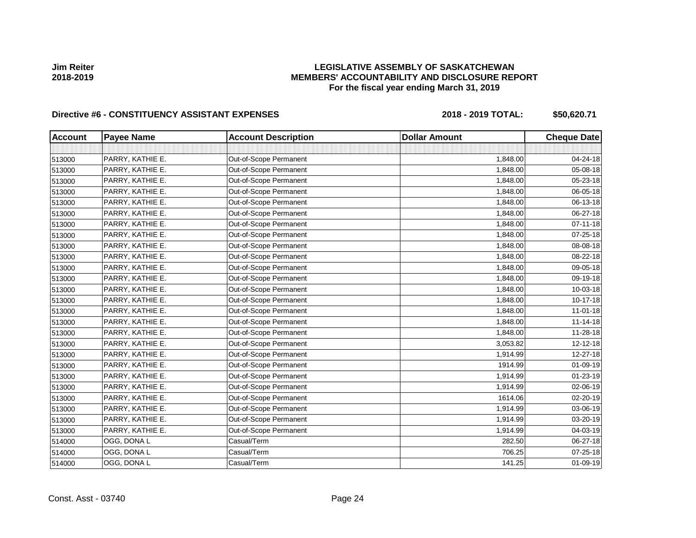# **LEGISLATIVE ASSEMBLY OF SASKATCHEWAN MEMBERS' ACCOUNTABILITY AND DISCLOSURE REPORT For the fiscal year ending March 31, 2019**

| <b>Account</b> | <b>Payee Name</b> | <b>Account Description</b> | <b>Dollar Amount</b> | <b>Cheque Date</b> |
|----------------|-------------------|----------------------------|----------------------|--------------------|
|                |                   |                            |                      |                    |
| 513000         | PARRY, KATHIE E.  | Out-of-Scope Permanent     | 1,848.00             | 04-24-18           |
| 513000         | PARRY, KATHIE E.  | Out-of-Scope Permanent     | 1,848.00             | 05-08-18           |
| 513000         | PARRY, KATHIE E.  | Out-of-Scope Permanent     | 1,848.00             | 05-23-18           |
| 513000         | PARRY, KATHIE E.  | Out-of-Scope Permanent     | 1,848.00             | 06-05-18           |
| 513000         | PARRY, KATHIE E.  | Out-of-Scope Permanent     | 1,848.00             | 06-13-18           |
| 513000         | PARRY, KATHIE E.  | Out-of-Scope Permanent     | 1,848.00             | 06-27-18           |
| 513000         | PARRY, KATHIE E.  | Out-of-Scope Permanent     | 1,848.00             | $07 - 11 - 18$     |
| 513000         | PARRY, KATHIE E.  | Out-of-Scope Permanent     | 1,848.00             | $07 - 25 - 18$     |
| 513000         | PARRY, KATHIE E.  | Out-of-Scope Permanent     | 1,848.00             | 08-08-18           |
| 513000         | PARRY, KATHIE E.  | Out-of-Scope Permanent     | 1,848.00             | 08-22-18           |
| 513000         | PARRY, KATHIE E.  | Out-of-Scope Permanent     | 1,848.00             | 09-05-18           |
| 513000         | PARRY, KATHIE E.  | Out-of-Scope Permanent     | 1,848.00             | 09-19-18           |
| 513000         | PARRY, KATHIE E.  | Out-of-Scope Permanent     | 1,848.00             | 10-03-18           |
| 513000         | PARRY, KATHIE E.  | Out-of-Scope Permanent     | 1,848.00             | $10 - 17 - 18$     |
| 513000         | PARRY, KATHIE E.  | Out-of-Scope Permanent     | 1,848.00             | $11 - 01 - 18$     |
| 513000         | PARRY, KATHIE E.  | Out-of-Scope Permanent     | 1,848.00             | $11 - 14 - 18$     |
| 513000         | PARRY, KATHIE E.  | Out-of-Scope Permanent     | 1,848.00             | $11 - 28 - 18$     |
| 513000         | PARRY, KATHIE E.  | Out-of-Scope Permanent     | 3,053.82             | 12-12-18           |
| 513000         | PARRY, KATHIE E.  | Out-of-Scope Permanent     | 1,914.99             | 12-27-18           |
| 513000         | PARRY, KATHIE E.  | Out-of-Scope Permanent     | 1914.99              | 01-09-19           |
| 513000         | PARRY, KATHIE E.  | Out-of-Scope Permanent     | 1,914.99             | $01 - 23 - 19$     |
| 513000         | PARRY, KATHIE E.  | Out-of-Scope Permanent     | 1,914.99             | 02-06-19           |
| 513000         | PARRY, KATHIE E.  | Out-of-Scope Permanent     | 1614.06              | 02-20-19           |
| 513000         | PARRY, KATHIE E.  | Out-of-Scope Permanent     | 1,914.99             | 03-06-19           |
| 513000         | PARRY, KATHIE E.  | Out-of-Scope Permanent     | 1,914.99             | 03-20-19           |
| 513000         | PARRY, KATHIE E.  | Out-of-Scope Permanent     | 1,914.99             | 04-03-19           |
| 514000         | OGG, DONA L       | Casual/Term                | 282.50               | 06-27-18           |
| 514000         | OGG, DONA L       | Casual/Term                | 706.25               | 07-25-18           |
| 514000         | OGG, DONA L       | Casual/Term                | 141.25               | 01-09-19           |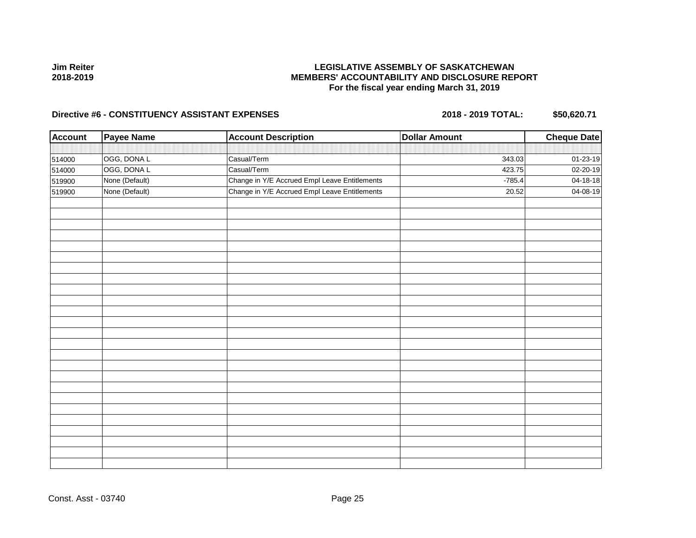# **LEGISLATIVE ASSEMBLY OF SASKATCHEWAN MEMBERS' ACCOUNTABILITY AND DISCLOSURE REPORT For the fiscal year ending March 31, 2019**

| <b>Account</b> | <b>Payee Name</b> | <b>Account Description</b>                    | <b>Dollar Amount</b> | <b>Cheque Date</b> |
|----------------|-------------------|-----------------------------------------------|----------------------|--------------------|
|                |                   |                                               |                      |                    |
| 514000         | OGG, DONA L       | Casual/Term                                   | 343.03               | 01-23-19           |
| 514000         | OGG, DONA L       | Casual/Term                                   | 423.75               | 02-20-19           |
| 519900         | None (Default)    | Change in Y/E Accrued Empl Leave Entitlements | $-785.4$             | 04-18-18           |
| 519900         | None (Default)    | Change in Y/E Accrued Empl Leave Entitlements | 20.52                | 04-08-19           |
|                |                   |                                               |                      |                    |
|                |                   |                                               |                      |                    |
|                |                   |                                               |                      |                    |
|                |                   |                                               |                      |                    |
|                |                   |                                               |                      |                    |
|                |                   |                                               |                      |                    |
|                |                   |                                               |                      |                    |
|                |                   |                                               |                      |                    |
|                |                   |                                               |                      |                    |
|                |                   |                                               |                      |                    |
|                |                   |                                               |                      |                    |
|                |                   |                                               |                      |                    |
|                |                   |                                               |                      |                    |
|                |                   |                                               |                      |                    |
|                |                   |                                               |                      |                    |
|                |                   |                                               |                      |                    |
|                |                   |                                               |                      |                    |
|                |                   |                                               |                      |                    |
|                |                   |                                               |                      |                    |
|                |                   |                                               |                      |                    |
|                |                   |                                               |                      |                    |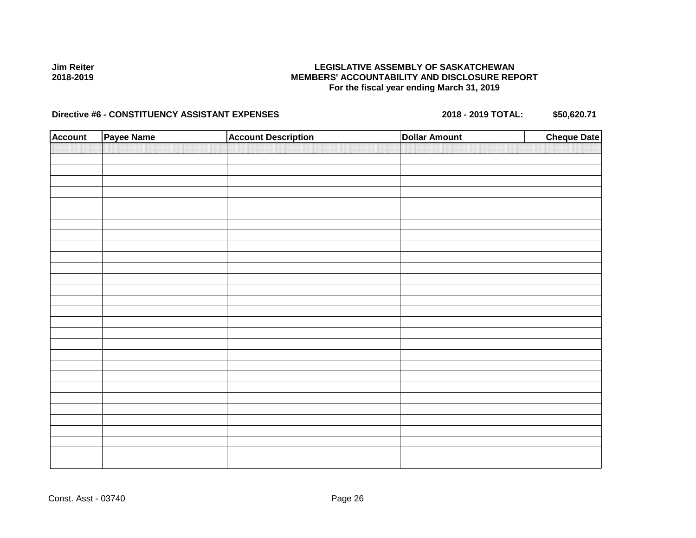## **LEGISLATIVE ASSEMBLY OF SASKATCHEWAN MEMBERS' ACCOUNTABILITY AND DISCLOSURE REPORT For the fiscal year ending March 31, 2019**

| <b>Account</b> | Payee Name | <b>Account Description</b> | <b>Dollar Amount</b> | <b>Cheque Date</b> |
|----------------|------------|----------------------------|----------------------|--------------------|
|                |            |                            |                      |                    |
|                |            |                            |                      |                    |
|                |            |                            |                      |                    |
|                |            |                            |                      |                    |
|                |            |                            |                      |                    |
|                |            |                            |                      |                    |
|                |            |                            |                      |                    |
|                |            |                            |                      |                    |
|                |            |                            |                      |                    |
|                |            |                            |                      |                    |
|                |            |                            |                      |                    |
|                |            |                            |                      |                    |
|                |            |                            |                      |                    |
|                |            |                            |                      |                    |
|                |            |                            |                      |                    |
|                |            |                            |                      |                    |
|                |            |                            |                      |                    |
|                |            |                            |                      |                    |
|                |            |                            |                      |                    |
|                |            |                            |                      |                    |
|                |            |                            |                      |                    |
|                |            |                            |                      |                    |
|                |            |                            |                      |                    |
|                |            |                            |                      |                    |
|                |            |                            |                      |                    |
|                |            |                            |                      |                    |
|                |            |                            |                      |                    |
|                |            |                            |                      |                    |
|                |            |                            |                      |                    |